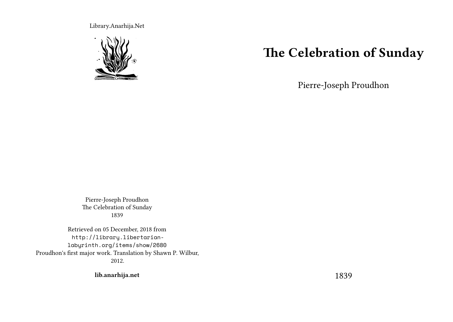Library.Anarhija.Net



## **The Celebration of Sunday**

Pierre-Joseph Proudhon

Pierre-Joseph Proudhon The Celebration of Sunday 1839

Retrieved on 05 December, 2018 from http://library.libertarianlabyrinth.org/items/show/2680 Proudhon's first major work. Translation by Shawn P. Wilbur, 2012.

**lib.anarhija.net**

1839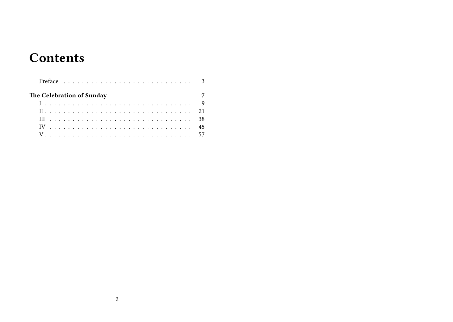# **Contents**

| The Celebration of Sunday |  |  |  |  |  |  |  |  |  |  |  |  |  |  |  |  |
|---------------------------|--|--|--|--|--|--|--|--|--|--|--|--|--|--|--|--|
|                           |  |  |  |  |  |  |  |  |  |  |  |  |  |  |  |  |
|                           |  |  |  |  |  |  |  |  |  |  |  |  |  |  |  |  |
|                           |  |  |  |  |  |  |  |  |  |  |  |  |  |  |  |  |
|                           |  |  |  |  |  |  |  |  |  |  |  |  |  |  |  |  |
|                           |  |  |  |  |  |  |  |  |  |  |  |  |  |  |  |  |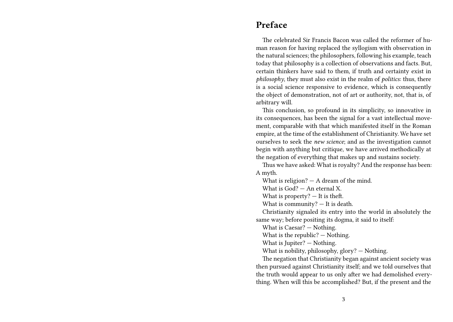#### **Preface**

The celebrated Sir Francis Bacon was called the reformer of human reason for having replaced the syllogism with observation in the natural sciences; the philosophers, following his example, teach today that philosophy is a collection of observations and facts. But, certain thinkers have said to them, if truth and certainty exist in *philosophy*, they must also exist in the realm of *politics*: thus, there is a social science responsive to evidence, which is consequently the object of demonstration, not of art or authority, not, that is, of arbitrary will.

This conclusion, so profound in its simplicity, so innovative in its consequences, has been the signal for a vast intellectual movement, comparable with that which manifested itself in the Roman empire, at the time of the establishment of Christianity. We have set ourselves to seek the *new science*; and as the investigation cannot begin with anything but critique, we have arrived methodically at the negation of everything that makes up and sustains society.

Thus we have asked: What is royalty? And the response has been: A myth.

What is religion? — A dream of the mind.

What is  $God? - An eternal X$ .

What is property?  $-$  It is theft.

What is community? — It is death.

Christianity signaled its entry into the world in absolutely the same way; before positing its dogma, it said to itself:

What is Caesar? — Nothing.

What is the republic? — Nothing.

What is Jupiter? — Nothing.

What is nobility, philosophy, glory? — Nothing.

The negation that Christianity began against ancient society was then pursued against Christianity itself; and we told ourselves that the truth would appear to us only after we had demolished everything. When will this be accomplished? But, if the present and the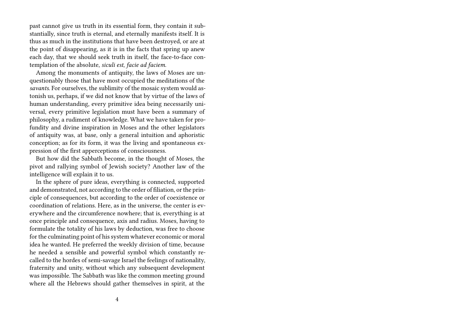past cannot give us truth in its essential form, they contain it substantially, since truth is eternal, and eternally manifests itself. It is thus as much in the institutions that have been destroyed, or are at the point of disappearing, as it is in the facts that spring up anew each day, that we should seek truth in itself, the face-to-face contemplation of the absolute, *siculi est*, *facie ad faciem*.

Among the monuments of antiquity, the laws of Moses are unquestionably those that have most occupied the meditations of the *savants*. For ourselves, the sublimity of the mosaic system would astonish us, perhaps, if we did not know that by virtue of the laws of human understanding, every primitive idea being necessarily universal, every primitive legislation must have been a summary of philosophy, a rudiment of knowledge. What we have taken for profundity and divine inspiration in Moses and the other legislators of antiquity was, at base, only a general intuition and aphoristic conception; as for its form, it was the living and spontaneous expression of the first apperceptions of consciousness.

But how did the Sabbath become, in the thought of Moses, the pivot and rallying symbol of Jewish society? Another law of the intelligence will explain it to us.

In the sphere of pure ideas, everything is connected, supported and demonstrated, not according to the order of filiation, or the principle of consequences, but according to the order of coexistence or coordination of relations. Here, as in the universe, the center is everywhere and the circumference nowhere; that is, everything is at once principle and consequence, axis and radius. Moses, having to formulate the totality of his laws by deduction, was free to choose for the culminating point of his system whatever economic or moral idea he wanted. He preferred the weekly division of time, because he needed a sensible and powerful symbol which constantly recalled to the hordes of semi-savage Israel the feelings of nationality, fraternity and unity, without which any subsequent development was impossible. The Sabbath was like the common meeting ground where all the Hebrews should gather themselves in spirit, at the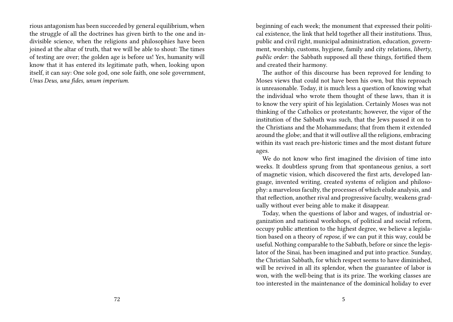rious antagonism has been succeeded by general equilibrium, when the struggle of all the doctrines has given birth to the one and indivisible science, when the religions and philosophies have been joined at the altar of truth, that we will be able to shout: The times of testing are over; the golden age is before us! Yes, humanity will know that it has entered its legitimate path, when, looking upon itself, it can say: One sole god, one sole faith, one sole government, *Unus Deus, una fides, unum imperium*.

beginning of each week; the monument that expressed their political existence, the link that held together all their institutions. Thus, public and civil right, municipal administration, education, government, worship, customs, hygiene, family and city relations, *liberty*, *public order*: the Sabbath supposed all these things, fortified them and created their harmony.

The author of this discourse has been reproved for lending to Moses views that could not have been his own, but this reproach is unreasonable. Today, it is much less a question of knowing what the individual who wrote them thought of these laws, than it is to know the very spirit of his legislation. Certainly Moses was not thinking of the Catholics or protestants; however, the vigor of the institution of the Sabbath was such, that the Jews passed it on to the Christians and the Mohammedans; that from them it extended around the globe; and that it will outlive all the religions, embracing within its vast reach pre-historic times and the most distant future ages.

We do not know who first imagined the division of time into weeks. It doubtless sprung from that spontaneous genius, a sort of magnetic vision, which discovered the first arts, developed language, invented writing, created systems of religion and philosophy: a marvelous faculty, the processes of which elude analysis, and that reflection, another rival and progressive faculty, weakens gradually without ever being able to make it disappear.

Today, when the questions of labor and wages, of industrial organization and national workshops, of political and social reform, occupy public attention to the highest degree, we believe a legislation based on a theory of *repose*, if we can put it this way, could be useful. Nothing comparable to the Sabbath, before or since the legislator of the Sinai, has been imagined and put into practice. Sunday, the Christian Sabbath, for which respect seems to have diminished, will be revived in all its splendor, when the guarantee of labor is won, with the well-being that is its prize. The working classes are too interested in the maintenance of the dominical holiday to ever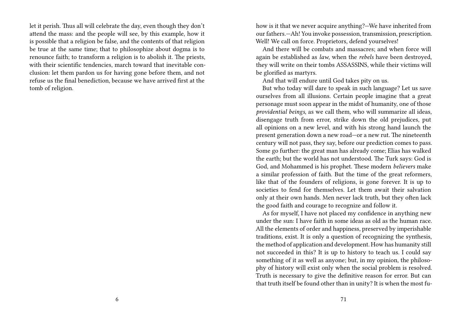let it perish. Thus all will celebrate the day, even though they don't attend the mass: and the people will see, by this example, how it is possible that a religion be false, and the contents of that religion be true at the same time; that to philosophize about dogma is to renounce faith; to transform a religion is to abolish it. The priests, with their scientific tendencies, march toward that inevitable conclusion: let them pardon us for having gone before them, and not refuse us the final benediction, because we have arrived first at the tomb of religion.

how is it that we never acquire anything?—We have inherited from our fathers.—Ah! You invoke possession, transmission, prescription. Well! We call on force. Proprietors, defend yourselves!

And there will be combats and massacres; and when force will again be established as *law*, when the *rebels* have been destroyed, they will write on their tombs ASSASSINS, while their victims will be glorified as martyrs.

And that will endure until God takes pity on us.

But who today will dare to speak in such language? Let us save ourselves from all illusions. Certain people imagine that a great personage must soon appear in the midst of humanity, one of those *providential beings*, as we call them, who will summarize all ideas, disengage truth from error, strike down the old prejudices, put all opinions on a new level, and with his strong hand launch the present generation down a new road—or a new rut. The nineteenth century will not pass, they say, before our prediction comes to pass. Some go further: the great man has already come; Elias has walked the earth; but the world has not understood. The Turk says: God is God, and Mohammed is his prophet. These modern *believers* make a similar profession of faith. But the time of the great reformers, like that of the founders of religions, is gone forever. It is up to societies to fend for themselves. Let them await their salvation only at their own hands. Men never lack truth, but they often lack the good faith and courage to recognize and follow it.

As for myself, I have not placed my confidence in anything new under the sun: I have faith in some ideas as old as the human race. All the elements of order and happiness, preserved by imperishable traditions, exist. It is only a question of recognizing the synthesis, the method of application and development. How has humanity still not succeeded in this? It is up to history to teach us. I could say something of it as well as anyone; but, in my opinion, the philosophy of history will exist only when the social problem is resolved. Truth is necessary to give the definitive reason for error. But can that truth itself be found other than in unity? It is when the most fu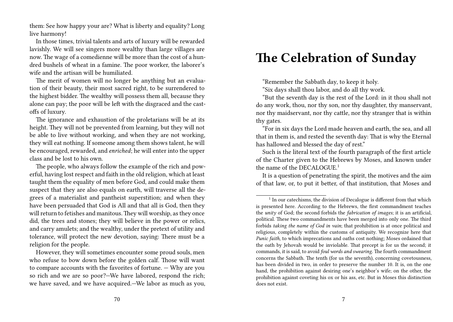them: See how happy your are? What is liberty and equality? Long live harmony!

In those times, trivial talents and arts of luxury will be rewarded lavishly. We will see singers more wealthy than large villages are now. The wage of a comedienne will be more than the cost of a hundred bushels of wheat in a famine. The poor worker, the laborer's wife and the artisan will be humiliated.

The merit of women will no longer be anything but an evaluation of their beauty, their most sacred right, to be surrendered to the highest bidder. The wealthy will possess them all, because they alone can pay; the poor will be left with the disgraced and the castoffs of luxury.

The ignorance and exhaustion of the proletarians will be at its height. They will not be prevented from learning, but they will not be able to live without working, and when they are not working, they will eat nothing. If someone among them shows talent, he will be encouraged, rewarded, and *enriched*; he will enter into the upper class and be lost to his own.

The people, who always follow the example of the rich and powerful, having lost respect and faith in the old religion, which at least taught them the equality of men before God, and could make them suspect that they are also equals on earth, will traverse all the degrees of a materialist and pantheist superstition; and when they have been persuaded that God is All and that all is God, then they will return to fetishes and manitous. They will worship, as they once did, the trees and stones; they will believe in the power or relics, and carry amulets; and the wealthy, under the pretext of utility and tolerance, will protect the new devotion, saying: There must be a religion for the people.

However, they will sometimes encounter some proud souls, men who refuse to bow down before the golden calf. Those will want to compare accounts with the favorites of fortune. — Why are you so rich and we are so poor?—We have labored, respond the rich; we have saved, and we have acquired.—We labor as much as you,

# **The Celebration of Sunday**

"Remember the Sabbath day, to keep it holy.

"Six days shall thou labor, and do all thy work.

"But the seventh day is the rest of the Lord: in it thou shall not do any work, thou, nor thy son, nor thy daughter, thy manservant, nor thy maidservant, nor thy cattle, nor thy stranger that is within thy gates.

"For in six days the Lord made heaven and earth, the sea, and all that in them is, and rested the seventh day: That is why the Eternal has hallowed and blessed the day of rest."

Such is the literal text of the fourth paragraph of the first article of the Charter given to the Hebrews by Moses, and known under the name of the DECALOGUE.<sup>1</sup>

It is a question of penetrating the spirit, the motives and the aim of that law, or, to put it better, of that institution, that Moses and

<sup>&</sup>lt;sup>1</sup> In our catechisms, the division of Decalogue is different from that which is presented here. According to the Hebrews, the first commandment teaches the *unity* of God; the second forbids the *fabrication of images*; it is an artificial, political. These two commandments have been merged into only one. The third forbids *taking the name of God in vain*; that prohibition is at once political and religious, completely within the customs of antiquity. We recognize here that *Punic faith*, to which imprecations and oaths cost nothing; Moses ordained that the oath by Jehovah would be inviolable. That precept is for us the second; it commands, it is said, to avoid *foul words and swearing*. The fourth commandment concerns the Sabbath. The tenth (for us the seventh), concerning covetousness, has been divided in two, in order to preserve the number 10. It is, on the one hand, the prohibition against desiring one's neighbor's wife; on the other, the prohibition against coveting his ox or his ass, etc. But in Moses this distinction does not exist.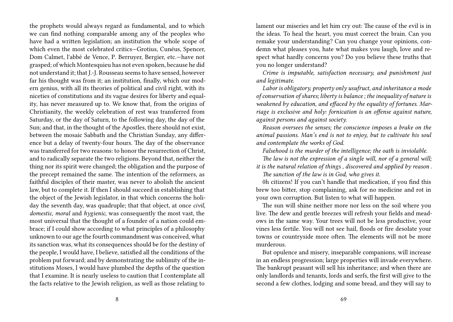the prophets would always regard as fundamental, and to which we can find nothing comparable among any of the peoples who have had a written legislation; an institution the whole scope of which even the most celebrated critics—Grotius, Cunéus, Spencer, Dom Calmet, l'abbé de Vence, P. Berruyer, Bergier, etc.—have not grasped; of which Montesquieu has not even spoken, because he did not understand it; that J.-J. Rousseau seems to have sensed, however far his thought was from it; an institution, finally, which our modern genius, with all its theories of political and civil right, with its niceties of constitutions and its vague desires for liberty and equality, has never measured up to. We know that, from the origins of Christianity, the weekly celebration of rest was transferred from Saturday, or the day of Saturn, to the following day, the day of the Sun; and that, in the thought of the Apostles, there should not exist, between the mosaic Sabbath and the Christian Sunday, any difference but a delay of twenty-four hours. The day of the observance was transferred for two reasons: to honor the resurrection of Christ, and to radically separate the two religions. Beyond that, neither the thing nor its spirit were changed; the obligation and the purpose of the precept remained the same. The intention of the reformers, as faithful disciples of their master, was never to abolish the ancient law, but to complete it. If then I should succeed in establishing that the object of the Jewish legislator, in that which concerns the holiday the seventh day, was quadruple; that that object, at once *civil*, *domestic*, *moral* and *hygienic*, was consequently the most vast, the most universal that the thought of a founder of a nation could embrace; if I could show according to what principles of a philosophy unknown to our age the fourth commandment was conceived, what its sanction was, what its consequences should be for the destiny of the people, I would have, I believe, satisfied all the conditions of the problem put forward; and by demonstrating the sublimity of the institutions Moses, I would have plumbed the depths of the question that I examine. It is nearly useless to caution that I contemplate all the facts relative to the Jewish religion, as well as those relating to

lament our miseries and let him cry out: The cause of the evil is in the ideas. To heal the heart, you must correct the brain. Can you remake your understanding? Can you change your opinions, condemn what pleases you, hate what makes you laugh, love and respect what hardly concerns you? Do you believe these truths that you no longer understand?

*Crime is imputable, satisfaction necessary, and punishment just and legitimate.*

*Labor is obligatory, property only usufruct, and inheritance a mode of conservation of shares; liberty is balance ; the inequality of nature is weakened by education, and effaced by the equality of fortunes. Marriage is exclusive and holy: fornication is an offense against nature, against persons and against society.*

*Reason oversees the senses; the conscience imposes a brake on the animal passions. Man's end is not to enjoy, but to cultivate his soul and contemplate the works of God.*

*Falsehood is the murder of the intelligence; the oath is inviolable.*

*The law is not the expression of a single will, nor of a general will; it is the natural relation of things , discovered and applied by reason .*

*The sanction of the law is in God, who gives it.*

0h citizens! If you can't handle that medication, if you find this brew too bitter, stop complaining, ask for no medicine and rot in your own corruption. But listen to what will happen.

The sun will shine neither more nor less on the soil where you live. The dew and gentle breezes will refresh your fields and meadows in the same way. Your trees will not be less productive, your vines less fertile. You will not see hail, floods or fire desolate your towns or countryside more often. The elements will not be more murderous.

But opulence and misery, inseparable companions, will increase in an endless progression; large properties will invade everywhere. The bankrupt peasant will sell his inheritance; and when there are only landlords and tenants, lords and serfs, the first will give to the second a few clothes, lodging and some bread, and they will say to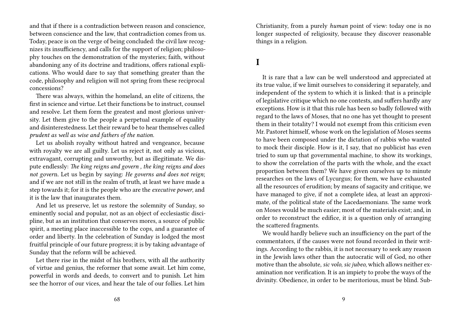and that if there is a contradiction between reason and conscience, between conscience and the law, that contradiction comes from us. Today, peace is on the verge of being concluded: the civil law recognizes its insufficiency, and calls for the support of religion; philosophy touches on the demonstration of the mysteries; faith, without abandoning any of its doctrine and traditions, offers rational explications. Who would dare to say that something greater than the code, philosophy and religion will not spring from these reciprocal concessions?

There was always, within the homeland, an elite of citizens, the first in science and virtue. Let their functions be to instruct, counsel and resolve. Let them form the greatest and most glorious university. Let them give to the people a perpetual example of equality and disinterestedness. Let their reward be to hear themselves called *prudent as well as wise and fathers of the nation*.

Let us abolish royalty without hatred and vengeance, because with royalty we are all guilty. Let us reject it, not only as vicious, extravagant, corrupting and unworthy, but as illegitimate. We dispute endlessly: *The king reigns and govern , the king reigns and does not gover*n. Let us begin by saying: *He governs and does not reign*; and if we are not still in the realm of truth, at least we have made a step towards it; for it is the people who are the *executive power*, and it is the law that inaugurates them.

And let us preserve, let us restore the solemnity of Sunday, so eminently social and popular, not as an object of ecclesiastic discipline, but as an institution that conserves mores, a source of public spirit, a meeting place inaccessible to the cops, and a guarantee of order and liberty. In the celebration of Sunday is lodged the most fruitful principle of our future progress; it is by taking advantage of Sunday that the reform will be achieved.

Let there rise in the midst of his brothers, with all the authority of virtue and genius, the reformer that some await. Let him come, powerful in words and deeds, to convert and to punish. Let him see the horror of our vices, and hear the tale of our follies. Let him

Christianity, from a purely *human* point of view: today one is no longer suspected of religiosity, because they discover reasonable things in a religion.

### **I**

It is rare that a law can be well understood and appreciated at its true value, if we limit ourselves to considering it separately, and independent of the system to which it is linked: that is a principle of legislative critique which no one contests, and suffers hardly any exceptions. How is it that this rule has been so badly followed with regard to the laws of Moses, that no one has yet thought to present them in their totality? I would not exempt from this criticism even Mr. Pastoret himself, whose work on the legislation of Moses seems to have been composed under the dictation of rabbis who wanted to mock their disciple. How is it, I say, that no publicist has even tried to sum up that governmental machine, to show its workings, to show the correlation of the parts with the whole, and the exact proportion between them? We have given ourselves up to minute researches on the laws of Lycurgus; for them, we have exhausted all the resources of erudition; by means of sagacity and critique, we have managed to give, if not a complete idea, at least an approximate, of the political state of the Lacedaemonians. The same work on Moses would be much easier; most of the materials exist; and, in order to reconstruct the edifice, it is a question only of arranging the scattered fragments.

We would hardly believe such an insufficiency on the part of the commentators, if the causes were not found recorded in their writings. According to the rabbis, it is not necessary to seek any reason in the Jewish laws other than the autocratic will of God, no other motive than the absolute, *sic volo*, *sic jubeo*, which allows neither examination nor verification. It is an impiety to probe the ways of the divinity. Obedience, in order to be meritorious, must be blind. Sub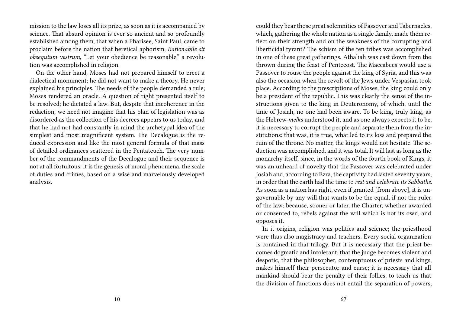mission to the law loses all its prize, as soon as it is accompanied by science. That absurd opinion is ever so ancient and so profoundly established among them, that when a Pharisee, Saint Paul, came to proclaim before the nation that heretical aphorism, *Rationabile sit obsequium vestrum*, "Let your obedience be reasonable," a revolution was accomplished in religion.

On the other hand, Moses had not prepared himself to erect a dialectical monument; he did not want to make a theory. He never explained his principles. The needs of the people demanded a rule; Moses rendered an oracle. A question of right presented itself to be resolved; he dictated a law. But, despite that incoherence in the redaction, we need not imagine that his plan of legislation was as disordered as the collection of his decrees appears to us today, and that he had not had constantly in mind the archetypal idea of the simplest and most magnificent system. The Decalogue is the reduced expression and like the most general formula of that mass of detailed ordinances scattered in the Pentateuch. The very number of the commandments of the Decalogue and their sequence is not at all fortuitous: it is the genesis of moral phenomena, the scale of duties and crimes, based on a wise and marvelously developed analysis.

could they bear those great solemnities of Passover and Tabernacles, which, gathering the whole nation as a single family, made them reflect on their strength and on the weakness of the corrupting and liberticidal tyrant? The schism of the ten tribes was accomplished in one of these great gatherings. Athaliah was cast down from the thrown during the feast of Pentecost. The Maccabees would use a Passover to rouse the people against the king of Syria, and this was also the occasion when the revolt of the Jews under Vespasian took place. According to the prescriptions of Moses, the king could only be a president of the republic. This was clearly the sense of the instructions given to the king in Deuteronomy, of which, until the time of Josiah, no one had been aware. To be king, truly king, as the Hebrew *melks* understood it, and as one always expects it to be, it is necessary to corrupt the people and separate them from the institutions: that was, it is true, what led to its loss and prepared the ruin of the throne. No matter, the kings would not hesitate. The seduction was accomplished, and it was total. It will last as long as the monarchy itself, since, in the words of the fourth book of Kings, it was an unheard of novelty that the Passover was celebrated under Josiah and, according to Ezra, the captivity had lasted seventy years, in order that the earth had the time to *rest and celebrate its Sabbaths*. As soon as a nation has right, even if granted [from above], it is ungovernable by any will that wants to be the equal, if not the ruler of the law; because, sooner or later, the Charter, whether awarded or consented to, rebels against the will which is not its own, and opposes it.

In it origins, religion was politics and science; the priesthood were thus also magistracy and teachers. Every social organization is contained in that trilogy. But it is necessary that the priest becomes dogmatic and intolerant, that the judge becomes violent and despotic, that the philosopher, contemptuous of priests and kings, makes himself their persecutor and curse; it is necessary that all mankind should bear the penalty of their follies, to teach us that the division of functions does not entail the separation of powers,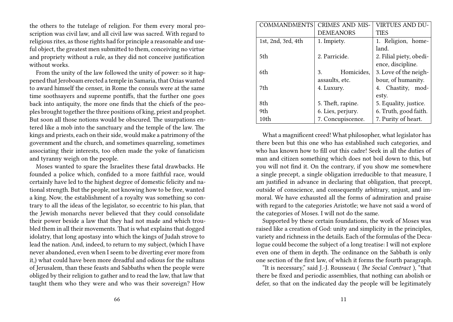the others to the tutelage of religion. For them every moral proscription was civil law, and all civil law was sacred. With regard to religious rites, as those rights had for principle a reasonable and useful object, the greatest men submitted to them, conceiving no virtue and propriety without a rule, as they did not conceive justification without works.

From the unity of the law followed the unity of power: so it happened that Jeroboam erected a temple in Samaria, that Ozias wanted to award himself the censer, in Rome the consuls were at the same time soothsayers and supreme pontiffs, that the further one goes back into antiquity, the more one finds that the chiefs of the peoples brought together the three positions of king, priest and prophet. But soon all those notions would be obscured. The usurpations entered like a mob into the sanctuary and the temple of the law. The kings and priests, each on their side, would make a patrimony of the government and the church, and sometimes quarreling, sometimes associating their interests, too often made the yoke of fanaticism and tyranny weigh on the people.

Moses wanted to spare the Israelites these fatal drawbacks. He founded a police which, confided to a more faithful race, would certainly have led to the highest degree of domestic felicity and national strength. But the people, not knowing how to be free, wanted a king. Now, the establishment of a royalty was something so contrary to all the ideas of the legislator, so eccentric to his plan, that the Jewish monarchs never believed that they could consolidate their power beside a law that they had not made and which troubled them in all their movements. That is what explains that dogged idolatry, that long apostasy into which the kings of Judah strove to lead the nation. And, indeed, to return to my subject, (which I have never abandoned, even when I seem to be diverting ever more from it,) what could have been more dreadful and odious for the sultans of Jerusalem, than these feasts and Sabbaths when the people were obliged by their religion to gather and to read the law, that law that taught them who they were and who was their sovereign? How

| COMMANDMENTS       | <b>CRIMES AND MIS-</b> | <b>VIRTUES AND DU-</b>  |  |  |  |  |  |  |  |
|--------------------|------------------------|-------------------------|--|--|--|--|--|--|--|
|                    | <b>DEMEANORS</b>       | <b>TIES</b>             |  |  |  |  |  |  |  |
| 1st, 2nd, 3rd, 4th | 1. Impiety.            | 1. Religion, home-      |  |  |  |  |  |  |  |
|                    |                        | land.                   |  |  |  |  |  |  |  |
| 5th                | 2. Parricide.          | 2. Filial piety, obedi- |  |  |  |  |  |  |  |
|                    |                        | ence, discipline.       |  |  |  |  |  |  |  |
| 6th.               | Homicides,<br>3.       | 3. Love of the neigh-   |  |  |  |  |  |  |  |
|                    | assaults, etc.         | bour, of humanity.      |  |  |  |  |  |  |  |
| 7th                | 4. Luxury.             | 4. Chastity, mod-       |  |  |  |  |  |  |  |
|                    |                        | esty.                   |  |  |  |  |  |  |  |
| 8th                | 5. Theft, rapine.      | 5. Equality, justice.   |  |  |  |  |  |  |  |
| 9th                | 6. Lies, perjury.      | 6. Truth, good faith.   |  |  |  |  |  |  |  |
| 10th               | 7. Concupiscence.      | 7. Purity of heart.     |  |  |  |  |  |  |  |

What a magnificent creed! What philosopher, what legislator has there been but this one who has established such categories, and who has known how to fill out this cadre! Seek in all the duties of man and citizen something which does not boil down to this, but you will not find it. On the contrary, if you show me somewhere a single precept, a single obligation irreducible to that measure, I am justified in advance in declaring that obligation, that precept, outside of conscience, and consequently arbitrary, unjust, and immoral. We have exhausted all the forms of admiration and praise with regard to the categories Aristotle; we have not said a word of the categories of Moses. I will not do the same.

Supported by these certain foundations, the work of Moses was raised like a creation of God: unity and simplicity in the principles, variety and richness in the details. Each of the formulas of the Decalogue could become the subject of a long treatise: I will not explore even one of them in depth. The ordinance on the Sabbath is only one section of the first law, of which it forms the fourth paragraph.

"It is necessary," said J.-J. Rousseau ( *The Social Contract* ), "that there be fixed and periodic assemblies, that nothing can abolish or defer, so that on the indicated day the people will be legitimately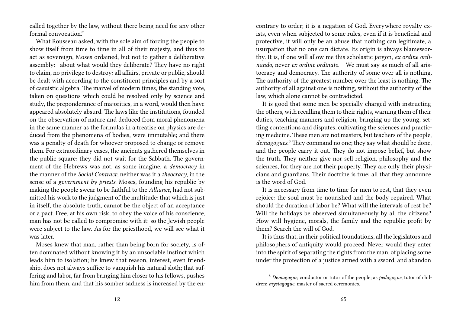called together by the law, without there being need for any other formal convocation."

What Rousseau asked, with the sole aim of forcing the people to show itself from time to time in all of their majesty, and thus to act as sovereign, Moses ordained, but not to gather a deliberative assembly:—about what would they deliberate? They have no right to claim, no privilege to destroy: all affairs, private or public, should be dealt with according to the constituent principles and by a sort of casuistic algebra. The marvel of modern times, the standing vote, taken on questions which could be resolved only by science and study, the preponderance of majorities, in a word, would then have appeared absolutely absurd. The laws like the institutions, founded on the observation of nature and deduced from moral phenomena in the same manner as the formulas in a treatise on physics are deduced from the phenomena of bodies, were immutable; and there was a penalty of death for whoever proposed to change or remove them. For extraordinary cases, the ancients gathered themselves in the public square: they did not wait for the Sabbath. The government of the Hebrews was not, as some imagine, a *democracy* in the manner of the *Social Contract*; neither was it a *theocracy*, in the sense of a *government by priests*. Moses, founding his republic by making the people swear to be faithful to the *Alliance*, had not submitted his work to the judgment of the multitude: that which is just in itself, the absolute truth, cannot be the object of an acceptance or a pact. Free, at his own risk, to obey the voice of his conscience, man has not be called to compromise with it: so the Jewish people were subject to the law. As for the priesthood, we will see what it was later.

Moses knew that man, rather than being born for society, is often dominated without knowing it by an unsociable instinct which leads him to isolation; he knew that reason, interest, even friendship, does not always suffice to vanquish his natural sloth; that suffering and labor, far from bringing him closer to his fellows, pushes him from them, and that his somber sadness is increased by the encontrary to order; it is a negation of God. Everywhere royalty exists, even when subjected to some rules, even if it is beneficial and protective, it will only be an abuse that nothing can legitimate, a usurpation that no one can dictate. Its origin is always blameworthy. It is, if one will allow me this scholastic jargon, *ex ordine ordinando,* never *ex ordine ordinato*. —We must say as much of all aristocracy and democracy. The authority of some over all is nothing. The authority of the greatest number over the least is nothing. The authority of all against one is nothing, without the authority of the law, which alone cannot be contradicted.

It is good that some men be specially charged with instructing the others, with recalling them to their rights, warning them of their duties, teaching manners and religion, bringing up the young, settling contentions and disputes, cultivating the sciences and practicing medicine. These men are not masters, but teachers of the people, *demagogues*. <sup>8</sup> They command no one; they say what should be done, and the people carry it out. They do not impose belief, but show the truth. They neither give nor sell religion, philosophy and the sciences, for they are not their property. They are only their physicians and guardians. Their doctrine is true: all that they announce is the word of God.

It is necessary from time to time for men to rest, that they even rejoice: the soul must be nourished and the body repaired. What should the duration of labor be? What will the intervals of rest be? Will the holidays be observed simultaneously by all the citizens? How will hygiene, morals, the family and the republic profit by them? Search the will of God.

It is thus that, in their political foundations, all the legislators and philosophers of antiquity would proceed. Never would they enter into the spirit of separating the rights from the man, of placing some under the protection of a justice armed with a sword, and abandon

<sup>8</sup> *Demagogue*, conductor or tutor of the people; as *pedagogue*, tutor of children; *mystagogue*, master of sacred ceremonies.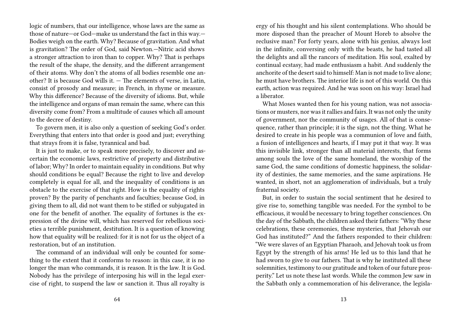logic of numbers, that our intelligence, whose laws are the same as those of nature—or God—make us understand the fact in this way.— Bodies weigh on the earth. Why? Because of gravitation. And what is gravitation? The order of God, said Newton.—Nitric acid shows a stronger attraction to iron than to copper. Why? That is perhaps the result of the shape, the density, and the different arrangement of their atoms. Why don't the atoms of all bodies resemble one another? It is because God wills it. — The elements of verse, in Latin, consist of prosody and measure; in French, in rhyme or measure. Why this difference? Because of the diversity of idioms. But, while the intelligence and organs of man remain the same, where can this diversity come from? From a multitude of causes which all amount to the decree of destiny.

To govern men, it is also only a question of seeking God's order. Everything that enters into that order is good and just; everything that strays from it is false, tyrannical and bad.

It is just to make, or to speak more precisely, to discover and ascertain the economic laws, restrictive of property and distributive of labor; Why? In order to maintain equality in conditions. But why should conditions be equal? Because the right to live and develop completely is equal for all, and the inequality of conditions is an obstacle to the exercise of that right. How is the equality of rights proven? By the parity of penchants and faculties; because God, in giving them to all, did not want them to be stifled or subjugated in one for the benefit of another. The equality of fortunes is the expression of the divine will, which has reserved for rebellious societies a terrible punishment, destitution. It is a question of knowing how that equality will be realized: for it is not for us the object of a restoration, but of an institution.

The command of an individual will only be counted for something to the extent that it conforms to reason: in this case, it is no longer the man who commands, it is reason. It is the law. It is God. Nobody has the privilege of interposing his will in the legal exercise of right, to suspend the law or sanction it. Thus all royalty is

ergy of his thought and his silent contemplations. Who should be more disposed than the preacher of Mount Horeb to absolve the reclusive man? For forty years, alone with his genius, always lost in the infinite, conversing only with the beasts, he had tasted all the delights and all the rancors of meditation. His soul, exalted by continual ecstasy, had made enthusiasm a habit. And suddenly the anchorite of the desert said to himself: Man is not made to live alone; he must have brothers. The interior life is not of this world. On this earth, action was required. And he was soon on his way: Israel had a liberator.

What Moses wanted then for his young nation, was not associations or musters, nor was it rallies and fairs. It was not only the unity of government, nor the community of usages. All of that is consequence, rather than principle; it is the sign, not the thing. What he desired to create in his people was a communion of love and faith, a fusion of intelligences and hearts, if I may put it that way. It was this invisible link, stronger than all material interests, that forms among souls the love of the same homeland, the worship of the same God, the same conditions of domestic happiness, the solidarity of destinies, the same memories, and the same aspirations. He wanted, in short, not an agglomeration of individuals, but a truly fraternal society.

But, in order to sustain the social sentiment that he desired to give rise to, something tangible was needed. For the symbol to be efficacious, it would be necessary to bring together consciences. On the day of the Sabbath, the children asked their fathers: "Why these celebrations, these ceremonies, these mysteries, that Jehovah our God has instituted?" And the fathers responded to their children: "We were slaves of an Egyptian Pharaoh, and Jehovah took us from Egypt by the strength of his arms! He led us to this land that he had sworn to give to our fathers. That is why he instituted all these solemnities, testimony to our gratitude and token of our future prosperity." Let us note these last words. While the common Jew saw in the Sabbath only a commemoration of his deliverance, the legisla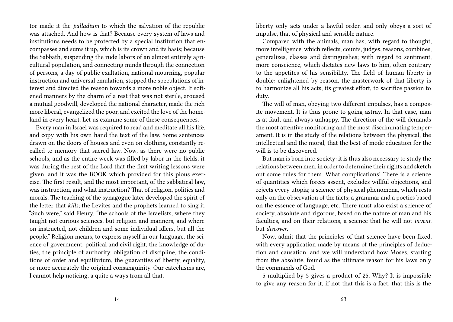tor made it the *palladium* to which the salvation of the republic was attached. And how is that? Because every system of laws and institutions needs to be protected by a special institution that encompasses and sums it up, which is its crown and its basis; because the Sabbath, suspending the rude labors of an almost entirely agricultural population, and connecting minds through the connection of persons, a day of public exaltation, national mourning, popular instruction and universal emulation, stopped the speculations of interest and directed the reason towards a more noble object. It softened manners by the charm of a rest that was not sterile, aroused a mutual goodwill, developed the national character, made the rich more liberal, evangelized the poor, and excited the love of the homeland in every heart. Let us examine some of these consequences.

Every man in Israel was required to read and meditate all his life, and copy with his own hand the text of the law. Some sentences drawn on the doors of houses and even on clothing, constantly recalled to memory that sacred law. Now, as there were no public schools, and as the entire week was filled by labor in the fields, it was during the rest of the Lord that the first writing lessons were given, and it was the BOOK which provided for this pious exercise. The first result, and the most important, of the sabbatical law, was instruction, and what instruction? That of religion, politics and morals. The teaching of the synagogue later developed the spirit of the letter that *kills*; the Levites and the prophets learned to sing it. "Such were," said Fleury, "the schools of the Israelists, where they taught not curious sciences, but religion and manners, and where on instructed, not children and some individual idlers, but all the people." Religion means, to express myself in our language, the science of government, political and civil right, the knowledge of duties, the principle of authority, obligation of discipline, the conditions of order and equilibrium, the guaranties of liberty, equality, or more accurately the original consanguinity. Our catechisms are, I cannot help noticing, a quite a ways from all that.

liberty only acts under a lawful order, and only obeys a sort of impulse, that of physical and sensible nature.

Compared with the animals, man has, with regard to thought, more intelligence, which reflects, counts, judges, reasons, combines, generalizes, classes and distinguishes; with regard to sentiment, more conscience, which dictates new laws to him, often contrary to the appetites of his sensibility. The field of human liberty is double: enlightened by reason, the masterwork of that liberty is to harmonize all his acts; its greatest effort, to sacrifice passion to duty.

The will of man, obeying two different impulses, has a composite movement. It is thus prone to going astray. In that case, man is at fault and always unhappy. The direction of the will demands the most attentive monitoring and the most discriminating temperament. It is in the study of the relations between the physical, the intellectual and the moral, that the best of mode education for the will is to be discovered.

But man is born into society: it is thus also necessary to study the relations between men, in order to determine their rights and sketch out some rules for them. What complications! There is a science of quantities which forces assent, excludes willful objections, and rejects every utopia; a science of physical phenomena, which rests only on the observation of the facts; a grammar and a poetics based on the essence of language, etc. There must also exist a science of society, absolute and rigorous, based on the nature of man and his faculties, and on their relations, a science that he will not *invent*, but *discover*.

Now, admit that the principles of that science have been fixed, with every application made by means of the principles of deduction and causation, and we will understand how Moses, starting from the absolute, found as the ultimate reason for his laws only the commands of God.

5 multiplied by 5 gives a product of 25. Why? It is impossible to give any reason for it, if not that this is a fact, that this is the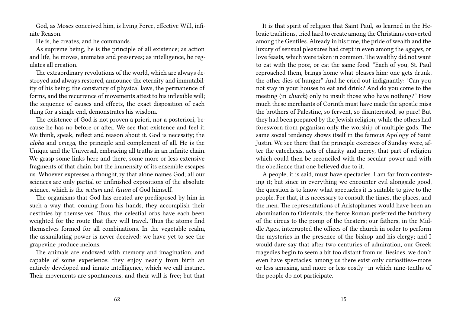God, as Moses conceived him, is living Force, effective Will, infinite Reason.

He is, he creates, and he commands.

As supreme being, he is the principle of all existence; as action and life, he moves, animates and preserves; as intelligence, he regulates all creation.

The extraordinary revolutions of the world, which are always destroyed and always restored, announce the eternity and immutability of his being; the constancy of physical laws, the permanence of forms, and the recurrence of movements attest to his inflexible will; the sequence of causes and effects, the exact disposition of each thing for a single end, demonstrates his wisdom.

The existence of God is not proven a priori, nor a posteriori, because he has no before or after. We see that existence and feel it. We think, speak, reflect and reason about it. God is necessity; the *alpha* and *omega*, the principle and complement of all. He is the Unique and the Universal, embracing all truths in an infinite chain. We grasp some links here and there, some more or less extensive fragments of that chain, but the immensity of its ensemble escapes us. Whoever expresses a thought,by that alone names God; all our sciences are only partial or unfinished expositions of the absolute science, which is the *scitum* and *fatum* of God himself.

The organisms that God has created are predisposed by him in such a way that, coming from his hands, they accomplish their destinies by themselves. Thus, the celestial orbs have each been weighted for the route that they will travel. Thus the atoms find themselves formed for all combinations. In the vegetable realm, the assimilating power is never deceived: we have yet to see the grapevine produce melons.

The animals are endowed with memory and imagination, and capable of some experience: they enjoy nearly from birth an entirely developed and innate intelligence, which we call instinct. Their movements are spontaneous, and their will is free; but that

It is that spirit of religion that Saint Paul, so learned in the Hebraic traditions, tried hard to create among the Christians converted among the Gentiles. Already in his time, the pride of wealth and the luxury of sensual pleasures had crept in even among the *agapes,* or love feasts, which were taken in common. The wealthy did not want to eat with the poor, or eat the same food. "Each of you, St. Paul reproached them, brings home what pleases him: one gets drunk, the other dies of hunger." And he cried out indignantly: "Can you not stay in your houses to eat and drink? And do you come to the meeting (in *church*) only to insult those who have nothing?" How much these merchants of Corinth must have made the apostle miss the brothers of Palestine, so fervent, so disinterested, so pure! But they had been prepared by the Jewish religion, while the others had foresworn from paganism only the worship of multiple gods. The same social tendency shows itself in the famous Apology of Saint Justin. We see there that the principle exercises of Sunday were, after the catechesis, acts of charity and mercy, that part of religion which could then be reconciled with the secular power and with the obedience that one believed due to it.

A people, it is said, must have spectacles. I am far from contesting it; but since in everything we encounter evil alongside good, the question is to know what spectacles it is suitable to give to the people. For that, it is necessary to consult the times, the places, and the men. The representations of Aristophanes would have been an abomination to Orientals; the fierce Roman preferred the butchery of the circus to the pomp of the theaters; our fathers, in the Middle Ages, interrupted the offices of the church in order to perform the mysteries in the presence of the bishop and his clergy; and I would dare say that after two centuries of admiration, our Greek tragedies begin to seem a bit too distant from us. Besides, we don't even have spectacles: among us there exist only curiosities—more or less amusing, and more or less costly—in which nine-tenths of the people do not participate.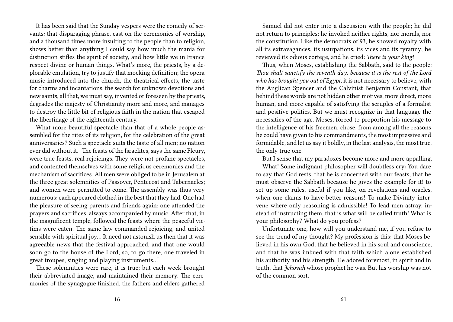It has been said that the Sunday vespers were the comedy of servants: that disparaging phrase, cast on the ceremonies of worship, and a thousand times more insulting to the people than to religion, shows better than anything I could say how much the mania for distinction stifles the spirit of society, and how little we in France respect divine or human things. What's more, the priests, by a deplorable emulation, try to justify that mocking definition; the opera music introduced into the church, the theatrical effects, the taste for charms and incantations, the search for unknown devotions and new saints, all that, we must say, invented or foreseen by the priests, degrades the majesty of Christianity more and more, and manages to destroy the little bit of religious faith in the nation that escaped the libertinage of the eighteenth century.

What more beautiful spectacle than that of a whole people assembled for the rites of its religion, for the celebration of the great anniversaries? Such a spectacle suits the taste of all men; no nation ever did without it. "The feasts of the Israelites, says the same Fleury, were true feasts, real rejoicings. They were not profane spectacles, and contented themselves with some religious ceremonies and the mechanism of sacrifices. All men were obliged to be in Jerusalem at the three great solemnities of Passover, Pentecost and Tabernacles; and women were permitted to come. The assembly was thus very numerous: each appeared clothed in the best that they had. One had the pleasure of seeing parents and friends again; one attended the prayers and sacrifices, always accompanied by music. After that, in the magnificent temple, followed the feasts where the peaceful victims were eaten. The same law commanded rejoicing, and united sensible with spiritual joy… It need not astonish us then that it was agreeable news that the festival approached, and that one would soon go to the house of the Lord; so, to go there, one traveled in great troupes, singing and playing instruments…"

These solemnities were rare, it is true; but each week brought their abbreviated image, and maintained their memory. The ceremonies of the synagogue finished, the fathers and elders gathered

Samuel did not enter into a discussion with the people; he did not return to principles; he invoked neither rights, nor morals, nor the constitution. Like the democrats of 93, he showed royalty with all its extravagances, its usurpations, its vices and its tyranny; he reviewed its odious cortege, and he cried: *There is your king!*

Thus, when Moses, establishing the Sabbath, said to the people: *Thou shalt sanctify the seventh day*, *because it is the rest of the Lord who has brought you out of Egypt*, it is not necessary to believe, with the Anglican Spencer and the Calvinist Benjamin Constant, that behind these words are not hidden other motives, more direct, more human, and more capable of satisfying the scruples of a formalist and positive politics. But we must recognize in that language the necessities of the age. Moses, forced to proportion his message to the intelligence of his freemen, chose, from among all the reasons he could have given to his commandments, the most impressive and formidable, and let us say it boldly, in the last analysis, the most true, the only true one.

But I sense that my paradoxes become more and more appalling.

What! Some indignant philosopher will doubtless cry: You dare to say that God rests, that he is concerned with our feasts, that he must observe the Sabbath because he gives the example for it! to set up some rules, useful if you like, on revelations and oracles, when one claims to have better reasons! To make Divinity intervene where only reasoning is admissible! To lead men astray, instead of instructing them, that is what will be called truth! What is your philosophy? What do you profess?

Unfortunate one, how will you understand me, if you refuse to see the trend of my thought? My profession is this: that Moses believed in his own God; that he believed in his soul and conscience, and that he was imbued with that faith which alone established his authority and his strength. He adored foremost, in spirit and in truth, that *Jehovah* whose prophet he was. But his worship was not of the common sort.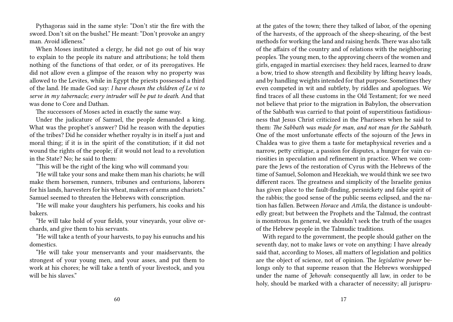Pythagoras said in the same style: "Don't stir the fire with the sword. Don't sit on the bushel." He meant: "Don't provoke an angry man. Avoid idleness."

When Moses instituted a clergy, he did not go out of his way to explain to the people its nature and attributions; he told them nothing of the functions of that order, or of its prerogatives. He did not allow even a glimpse of the reason why no property was allowed to the Levites, while in Egypt the priests possessed a third of the land. He made God say: *I have chosen the children of Le vi to serve in my tabernacle; every intruder will be put to death*. And that was done to Core and Dathan.

The successors of Moses acted in exactly the same way.

Under the judicature of Samuel, the people demanded a king. What was the prophet's answer? Did he reason with the deputies of the tribes? Did he consider whether royalty is in itself a just and moral thing; if it is in the spirit of the constitution; if it did not wound the rights of the people; if it would not lead to a revolution in the State? No; he said to them:

"This will be the right of the king who will command you:

"He will take your sons and make them man his chariots; he will make them horsemen, runners, tribunes and centurions, laborers for his lands, harvesters for his wheat, makers of arms and chariots." Samuel seemed to threaten the Hebrews with conscription.

"He will make your daughters his perfumers, his cooks and his bakers.

"He will take hold of your fields, your vineyards, your olive orchards, and give them to his servants.

"He will take a tenth of your harvests, to pay his eunuchs and his domestics.

"He will take your menservants and your maidservants, the strongest of your young men, and your asses, and put them to work at his chores; he will take a tenth of your livestock, and you will be his slaves."

at the gates of the town; there they talked of labor, of the opening of the harvests, of the approach of the sheep-shearing, of the best methods for working the land and raising herds. There was also talk of the affairs of the country and of relations with the neighboring peoples. The young men, to the approving cheers of the women and girls, engaged in martial exercises: they held races, learned to draw a bow, tried to show strength and flexibility by lifting heavy loads, and by handling weights intended for that purpose. Sometimes they even competed in wit and subtlety, by riddles and apologues. We find traces of all these customs in the Old Testament; for we need not believe that prior to the migration in Babylon, the observation of the Sabbath was carried to that point of superstitious fastidiousness that Jesus Christ criticized in the Pharisees when he said to them: *The Sabbath was made for man, and not man for the Sabbath*. One of the most unfortunate effects of the sojourn of the Jews in Chaldea was to give them a taste for metaphysical reveries and a narrow, petty critique, a passion for disputes, a hunger for vain curiosities in speculation and refinement in practice. When we compare the Jews of the restoration of Cyrus with the Hebrews of the time of Samuel, Solomon and Hezekiah, we would think we see two different races. The greatness and simplicity of the Israelite genius has given place to the fault-finding, persnickety and false spirit of the rabbis; the good sense of the public seems eclipsed, and the nation has fallen. Between *Horace* and *Attila*, the distance is undoubtedly great; but between the Prophets and the Talmud, the contrast is monstrous. In general, we shouldn't seek the truth of the usages of the Hebrew people in the Talmudic traditions.

With regard to the government, the people should gather on the seventh day, not to make laws or vote on anything: I have already said that, according to Moses, all matters of legislation and politics are the object of science, not of opinion. The *legislative power* belongs only to that supreme reason that the Hebrews worshipped under the name of *Jehovah*: consequently all law, in order to be holy, should be marked with a character of necessity; all jurispru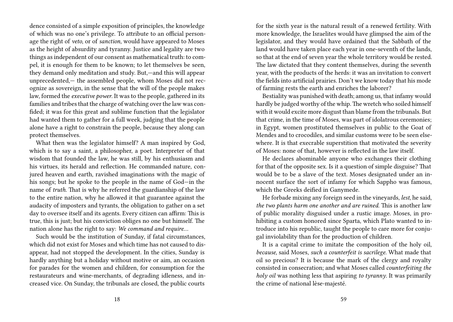dence consisted of a simple exposition of principles, the knowledge of which was no one's privilege. To attribute to an official personage the right of *veto*, or of *sanction*, would have appeared to Moses as the height of absurdity and tyranny. Justice and legality are two things as independent of our consent as mathematical truth: to compel, it is enough for them to be known; to let themselves be seen, they demand only meditation and study. But,—and this will appear unprecedented,— the assembled people, whom Moses did not recognize as sovereign, in the sense that the will of the people makes law, formed the *executive power*. It was to the people, gathered in its families and tribes that the charge of watching over the law was confided; it was for this great and sublime function that the legislator had wanted them to gather for a full week, judging that the people alone have a right to constrain the people, because they along can protect themselves.

What then was the legislator himself? A man inspired by God, which is to say a saint, a philosopher, a poet. Interpreter of that wisdom that founded the law, he was still, by his enthusiasm and his virtues, its herald and reflection. He commanded nature, conjured heaven and earth, ravished imaginations with the magic of his songs; but he spoke to the people in the name of God—in the name of *truth*. That is why he referred the guardianship of the law to the entire nation, why he allowed it that guarantee against the audacity of imposters and tyrants, the obligation to gather on a set day to oversee itself and its agents. Every citizen can affirm: This is true, this is just; but his conviction obliges no one but himself. The nation alone has the right to say: *We command and require…*

Such would be the institution of Sunday, if fatal circumstances, which did not exist for Moses and which time has not caused to disappear, had not stopped the development. In the cities, Sunday is hardly anything but a holiday without motive or aim, an occasion for parades for the women and children, for consumption for the restaurateurs and wine-merchants, of degrading idleness, and increased vice. On Sunday, the tribunals are closed, the public courts

for the sixth year is the natural result of a renewed fertility. With more knowledge, the Israelites would have glimpsed the aim of the legislator, and they would have ordained that the Sabbath of the land would have taken place each year in one-seventh of the lands, so that at the end of seven year the whole territory would be rested. The law dictated that they content themselves, during the seventh year, with the products of the herds: it was an invitation to convert the fields into artificial prairies. Don't we know today that his mode of farming rests the earth and enriches the laborer?

Bestiality was punished with death; among us, that infamy would hardly be judged worthy of the whip. The wretch who soiled himself with it would excite more disgust than blame from the tribunals. But that crime, in the time of Moses, was part of idolatrous ceremonies; in Egypt, women prostituted themselves in public to the Goat of Mendes and to crocodiles, and similar customs were to be seen elsewhere. It is that execrable superstition that motivated the severity of Moses: none of that, however is reflected in the law itself.

He declares abominable anyone who exchanges their clothing for that of the opposite sex. Is it a question of simple disguise? That would be to be a slave of the text. Moses designated under an innocent surface the sort of infamy for which Sappho was famous, which the Greeks deified in Ganymede.

He forbade mixing any foreign seed in the vineyards, *lest*, he said, *the two plants harm one another and are ruined*. This is another law of public morality disguised under a rustic image. Moses, in prohibiting a custom honored since Sparta, which Plato wanted to introduce into his republic, taught the people to care more for conjugal inviolability than for the production of children.

It is a capital crime to imitate the composition of the holy oil, *because*, said Moses, *such a counterfeit is sacrilege*. What made that oil so precious? It is because the mark of the clergy and royalty consisted in consecration; and what Moses called *counterfeiting the holy oil* was nothing less that aspiring *to tyranny*. It was primarily the crime of national lèse-majesté.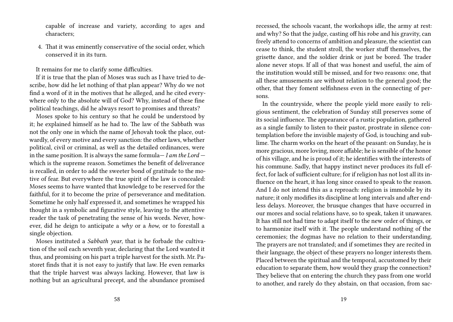capable of increase and variety, according to ages and characters;

4. That it was eminently conservative of the social order, which conserved it in its turn.

It remains for me to clarify some difficulties.

If it is true that the plan of Moses was such as I have tried to describe, how did he let nothing of that plan appear? Why do we not find a word of it in the motives that he alleged, and he cited everywhere only to the absolute will of God? Why, instead of these fine political teachings, did he always resort to promises and threats?

Moses spoke to his century so that he could be understood by it; he explained himself as he had to. The law of the Sabbath was not the only one in which the name of Jehovah took the place, outwardly, of every motive and every sanction: the other laws, whether political, civil or criminal, as well as the detailed ordinances, were in the same position. It is always the same formula— *I am the Lord* which is the supreme reason. Sometimes the benefit of deliverance is recalled, in order to add the sweeter bond of gratitude to the motive of fear. But everywhere the true spirit of the law is concealed: Moses seems to have wanted that knowledge to be reserved for the faithful, for it to become the prize of perseverance and meditation. Sometime he only half expressed it, and sometimes he wrapped his thought in a symbolic and figurative style, leaving to the attentive reader the task of penetrating the sense of his words. Never, however, did he deign to anticipate a *why* or a *how*, or to forestall a single objection.

Moses instituted a *Sabbath year*, that is he forbade the cultivation of the soil each seventh year, declaring that the Lord wanted it thus, and promising on his part a triple harvest for the sixth. Mr. Pastoret finds that it is not easy to justify that law. He even remarks that the triple harvest was always lacking. However, that law is nothing but an agricultural precept, and the abundance promised

recessed, the schools vacant, the workshops idle, the army at rest: and why? So that the judge, casting off his robe and his gravity, can freely attend to concerns of ambition and pleasure, the scientist can cease to think, the student stroll, the worker stuff themselves, the grisette dance, and the soldier drink or just be bored. The trader alone never stops. If all of that was honest and useful, the aim of the institution would still be missed, and for two reasons: one, that all these amusements are without relation to the general good; the other, that they foment selfishness even in the connecting of persons.

In the countryside, where the people yield more easily to religious sentiment, the celebration of Sunday still preserves some of its social influence. The appearance of a rustic population, gathered as a single family to listen to their pastor, prostrate in silence contemplation before the invisible majesty of God, is touching and sublime. The charm works on the heart of the peasant: on Sunday, he is more gracious, more loving, more affable; he is sensible of the honor of his village, and he is proud of it; he identifies with the interests of his commune. Sadly, that happy instinct never produces its full effect, for lack of sufficient culture; for if religion has not lost all its influence on the heart, it has long since ceased to speak to the reason. And I do not intend this as a reproach: religion is immobile by its nature; it only modifies its discipline at long intervals and after endless delays. Moreover, the brusque changes that have occurred in our mores and social relations have, so to speak, taken it unawares. It has still not had time to adapt itself to the new order of things, or to harmonize itself with it. The people understand nothing of the ceremonies; the dogmas have no relation to their understanding. The prayers are not translated; and if sometimes they are recited in their language, the object of these prayers no longer interests them. Placed between the spiritual and the temporal, accustomed by their education to separate them, how would they grasp the connection? They believe that on entering the church they pass from one world to another, and rarely do they abstain, on that occasion, from sac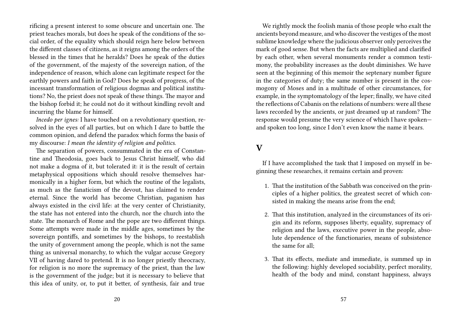rificing a present interest to some obscure and uncertain one. The priest teaches morals, but does he speak of the conditions of the social order, of the equality which should reign here below between the different classes of citizens, as it reigns among the orders of the blessed in the times that he heralds? Does he speak of the duties of the government, of the majesty of the sovereign nation, of the independence of reason, which alone can legitimate respect for the earthly powers and faith in God? Does he speak of progress, of the incessant transformation of religious dogmas and political institutions? No, the priest does not speak of these things. The mayor and the bishop forbid it; he could not do it without kindling revolt and incurring the blame for himself.

*Incedo per ignes:* I have touched on a revolutionary question, resolved in the eyes of all parties, but on which I dare to battle the common opinion, and defend the paradox which forms the basis of my discourse: *I mean the identity of religion and politics*.

The separation of powers, consummated in the era of Constantine and Theodosia, goes back to Jesus Christ himself, who did not make a dogma of it, but tolerated it: it is the result of certain metaphysical oppositions which should resolve themselves harmonically in a higher form, but which the routine of the legalists, as much as the fanaticism of the devout, has claimed to render eternal. Since the world has become Christian, paganism has always existed in the civil life: at the very center of Christianity, the state has not entered into the church, nor the church into the state. The monarch of Rome and the pope are two different things. Some attempts were made in the middle ages, sometimes by the sovereign pontiffs, and sometimes by the bishops, to reestablish the unity of government among the people, which is not the same thing as universal monarchy, to which the vulgar accuse Gregory VII of having dared to pretend. It is no longer priestly theocracy, for religion is no more the supremacy of the priest, than the law is the government of the judge; but it is necessary to believe that this idea of unity, or, to put it better, of synthesis, fair and true

We rightly mock the foolish mania of those people who exalt the ancients beyond measure, and who discover the vestiges of the most sublime knowledge where the judicious observer only perceives the mark of good sense. But when the facts are multiplied and clarified by each other, when several monuments render a common testimony, the probability increases as the doubt diminishes. We have seen at the beginning of this memoir the septenary number figure in the categories of duty; the same number is present in the cosmogony of Moses and in a multitude of other circumstances, for example, in the symptomatology of the leper; finally, we have cited the reflections of Cabanis on the relations of numbers: were all these laws recorded by the ancients, or just dreamed up at random? The response would presume the very science of which I have spoken and spoken too long, since I don't even know the name it bears.

### **V**

If I have accomplished the task that I imposed on myself in beginning these researches, it remains certain and proven:

- 1. That the institution of the Sabbath was conceived on the principles of a higher politics, the greatest secret of which consisted in making the means arise from the end;
- 2. That this institution, analyzed in the circumstances of its origin and its reform, supposes liberty, equality, supremacy of religion and the laws, executive power in the people, absolute dependence of the functionaries, means of subsistence the same for all;
- 3. That its effects, mediate and immediate, is summed up in the following: highly developed sociability, perfect morality, health of the body and mind, constant happiness, always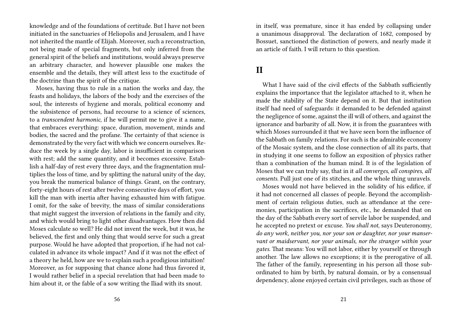knowledge and of the foundations of certitude. But I have not been initiated in the sanctuaries of Heliopolis and Jerusalem, and I have not inherited the mantle of Elijah. Moreover, such a reconstruction, not being made of special fragments, but only inferred from the general spirit of the beliefs and institutions, would always preserve an arbitrary character, and however plausible one makes the ensemble and the details, they will attest less to the exactitude of the doctrine than the spirit of the critique.

Moses, having thus to rule in a nation the works and day, the feasts and holidays, the labors of the body and the exercises of the soul, the interests of hygiene and morals, political economy and the subsistence of persons, had recourse to a science of sciences, to a *transcendent harmonic*, if he will permit me to give it a name, that embraces everything: space, duration, movement, minds and bodies, the sacred and the profane. The certainty of that science is demonstrated by the very fact with which we concern ourselves. Reduce the week by a single day, labor is insufficient in comparison with rest; add the same quantity, and it becomes excessive. Establish a half-day of rest every three days, and the fragmentation multiplies the loss of time, and by splitting the natural unity of the day, you break the numerical balance of things. Grant, on the contrary, forty-eight hours of rest after twelve consecutive days of effort, you kill the man with inertia after having exhausted him with fatigue. I omit, for the sake of brevity, the mass of similar considerations that might suggest the inversion of relations in the family and city, and which would bring to light other disadvantages. How then did Moses calculate so well? He did not invent the week, but it was, he believed, the first and only thing that would serve for such a great purpose. Would he have adopted that proportion, if he had not calculated in advance its whole impact? And if it was not the effect of a theory he held, how are we to explain such a prodigious intuition! Moreover, as for supposing that chance alone had thus favored it, I would rather belief in a special revelation that had been made to him about it, or the fable of a sow writing the Iliad with its snout.

in itself, was premature, since it has ended by collapsing under a unanimous disapproval. The declaration of 1682, composed by Bossuet, sanctioned the distinction of powers, and nearly made it an article of faith. I will return to this question.

### **II**

What I have said of the civil effects of the Sabbath sufficiently explains the importance that the legislator attached to it, when he made the stability of the State depend on it. But that institution itself had need of safeguards: it demanded to be defended against the negligence of some, against the ill will of others, and against the ignorance and barbarity of all. Now, it is from the guarantees with which Moses surrounded it that we have seen born the influence of the Sabbath on family relations. For such is the admirable economy of the Mosaic system, and the close connection of all its parts, that in studying it one seems to follow an exposition of physics rather than a combination of the human mind. It is of the legislation of Moses that we can truly say, that in it *all converges*, *all conspires*, *all consents*. Pull just one of its stitches, and the whole thing unravels.

Moses would not have believed in the solidity of his edifice, if it had not concerned all classes of people. Beyond the accomplishment of certain religious duties, such as attendance at the ceremonies, participation in the sacrifices, etc., he demanded that on the day of the Sabbath every sort of servile labor be suspended, and he accepted no pretext or excuse. *You shall not*, says Deuteronomy, *do any work, neither you, nor your son or daughter, nor your manservant or maidservant, nor your animals, nor the stranger within your gates*. That means: You will not labor, either by yourself or through another. The law allows no exceptions; it is the prerogative of all. The father of the family, representing in his person all those subordinated to him by birth, by natural domain, or by a consensual dependency, alone enjoyed certain civil privileges, such as those of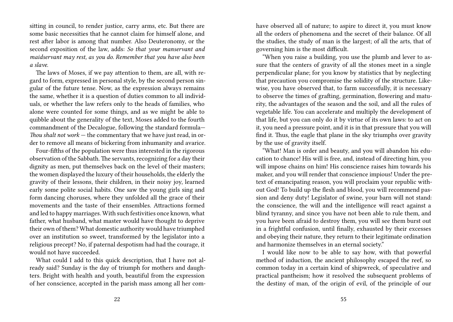sitting in council, to render justice, carry arms, etc. But there are some basic necessities that he cannot claim for himself alone, and rest after labor is among that number. Also Deuteronomy, or the second exposition of the law, adds: *So that your manservant and maidservant may rest, as you do. Remember that you have also been a slave.*

The laws of Moses, if we pay attention to them, are all, with regard to form, expressed in personal style, by the second person singular of the future tense. Now, as the expression always remains the same, whether it is a question of duties common to all individuals, or whether the law refers only to the heads of families, who alone were counted for some things, and as we might be able to quibble about the generality of the text, Moses added to the fourth commandment of the Decalogue, following the standard formula— *Thou shalt not work* — the commentary that we have just read, in order to remove all means of bickering from inhumanity and avarice.

Four-fifths of the population were thus interested in the rigorous observation of the Sabbath. The servants, recognizing for a day their dignity as men, put themselves back on the level of their masters; the women displayed the luxury of their households, the elderly the gravity of their lessons, their children, in their noisy joy, learned early some polite social habits. One saw the young girls sing and form dancing choruses, where they unfolded all the grace of their movements and the taste of their ensembles. Attractions formed and led to happy marriages. With such festivities once known, what father, what husband, what master would have thought to deprive their own of them? What domestic authority would have triumphed over an institution so sweet, transformed by the legislator into a religious precept? No, if paternal despotism had had the courage, it would not have succeeded.

What could I add to this quick description, that I have not already said? Sunday is the day of triumph for mothers and daughters. Bright with health and youth, beautiful from the expression of her conscience, accepted in the parish mass among all her comhave observed all of nature; to aspire to direct it, you must know all the orders of phenomena and the secret of their balance. Of all the studies, the study of man is the largest; of all the arts, that of governing him is the most difficult.

"When you raise a building, you use the plumb and lever to assure that the centers of gravity of all the stones meet in a single perpendicular plane; for you know by statistics that by neglecting that precaution you compromise the solidity of the structure. Likewise, you have observed that, to farm successfully, it is necessary to observe the times of grafting, germination, flowering and maturity, the advantages of the season and the soil, and all the rules of vegetable life. You can accelerate and multiply the development of that life, but you can only do it by virtue of its own laws: to act on it, you need a pressure point, and it is in that pressure that you will find it. Thus, the eagle that plane in the sky triumphs over gravity by the use of gravity itself.

"What! Man is order and beauty, and you will abandon his education to chance! His will is free, and, instead of directing him, you will impose chains on him! His conscience raises him towards his maker, and you will render that conscience impious! Under the pretext of emancipating reason, you will proclaim your republic without God! To build up the flesh and blood, you will recommend passion and deny duty! Legislator of swine, your barn will not stand: the conscience, the will and the intelligence will react against a blind tyranny, and since you have not been able to rule them, and you have been afraid to destroy them, you will see them burst out in a frightful confusion, until finally, exhausted by their excesses and obeying their nature, they return to their legitimate ordination and harmonize themselves in an eternal society."

I would like now to be able to say how, with that powerful method of induction, the ancient philosophy escaped the reef, so common today in a certain kind of shipwreck, of speculative and practical pantheism; how it resolved the subsequent problems of the destiny of man, of the origin of evil, of the principle of our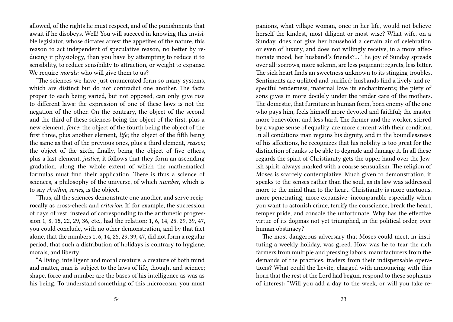allowed, of the rights he must respect, and of the punishments that await if he disobeys. Well! You will succeed in knowing this invisible legislator, whose dictates arrest the appetites of the nature, this reason to act independent of speculative reason, no better by reducing it physiology, than you have by attempting to reduce it to sensibility, to reduce sensibility to attraction, or weight to expanse. We require *morals*: who will give them to us?

"The sciences we have just enumerated form so many systems, which are distinct but do not contradict one another. The facts proper to each being varied, but not opposed, can only give rise to different laws: the expression of one of these laws is not the negation of the other. On the contrary, the object of the second and the third of these sciences being the object of the first, plus a new element, *force*; the object of the fourth being the object of the first three, plus another element, *life*; the object of the fifth being the same as that of the previous ones, plus a third element, *reason*; the object of the sixth, finally, being the object of five others, plus a last element, *justice*, it follows that they form an ascending gradation, along the whole extent of which the mathematical formulas must find their application. There is thus a science of sciences, a philosophy of the universe, of which *number*, which is to say *rhythm*, *series*, is the object.

"Thus, all the sciences demonstrate one another, and serve reciprocally as cross-check and *criterion*. If, for example, the succession of days of rest, instead of corresponding to the arithmetic progression 1, 8, 15, 22, 29, 36, etc., had the relation: 1, 6, 14, 25, 29, 39, 47, you could conclude, with no other demonstration, and by that fact alone, that the numbers 1, 6, 14, 25, 29, 39, 47, did not form a regular period, that such a distribution of holidays is contrary to hygiene, morals, and liberty.

"A living, intelligent and moral creature, a creature of both mind and matter, man is subject to the laws of life, thought and science; shape, force and number are the bases of his intelligence as was as his being. To understand something of this microcosm, you must

panions, what village woman, once in her life, would not believe herself the kindest, most diligent or most wise? What wife, on a Sunday, does not give her household a certain air of celebration or even of luxury, and does not willingly receive, in a more affectionate mood, her husband's friends?… The joy of Sunday spreads over all: sorrows, more solemn, are less poignant; regrets, less bitter. The sick heart finds an sweetness unknown to its stinging troubles. Sentiments are uplifted and purified: husbands find a lively and respectful tenderness, maternal love its enchantments; the piety of sons gives in more docilely under the tender care of the mothers. The domestic, that furniture in human form, born enemy of the one who pays him, feels himself more devoted and faithful; the master more benevolent and less hard. The farmer and the worker, stirred by a vague sense of equality, are more content with their condition. In all conditions man regains his dignity, and in the boundlessness of his affections, he recognizes that his nobility is too great for the distinction of ranks to be able to degrade and damage it. In all these regards the spirit of Christianity gets the upper hand over the Jewish spirit, always marked with a coarse sensualism. The religion of Moses is scarcely contemplative. Much given to demonstration, it speaks to the senses rather than the soul, as its law was addressed more to the mind than to the heart. Christianity is more unctuous, more penetrating, more expansive: incomparable especially when you want to astonish crime, terrify the conscience, break the heart, temper pride, and console the unfortunate. Why has the effective virtue of its dogmas not yet triumphed, in the political order, over human obstinacy?

The most dangerous adversary that Moses could meet, in instituting a weekly holiday, was greed. How was he to tear the rich farmers from multiple and pressing labors, manufacturers from the demands of the practices, traders from their indispensable operations? What could the Levite, charged with announcing with this horn that the rest of the Lord had begun, respond to these sophisms of interest: "Will you add a day to the week, or will you take re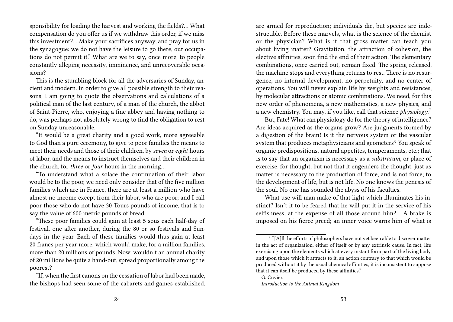sponsibility for loading the harvest and working the fields?… What compensation do you offer us if we withdraw this order, if we miss this investment?… Make your sacrifices anyway, and pray for us in the synagogue: we do not have the leisure to go there, our occupations do not permit it." What are we to say, once more, to people constantly alleging necessity, imminence, and unrecoverable occasions?

This is the stumbling block for all the adversaries of Sunday, ancient and modern. In order to give all possible strength to their reasons, I am going to quote the observations and calculations of a political man of the last century, of a man of the church, the abbot of Saint-Pierre, who, enjoying a fine abbey and having nothing to do, was perhaps not absolutely wrong to find the obligation to rest on Sunday unreasonable.

"It would be a great charity and a good work, more agreeable to God than a pure ceremony, to give to poor families the means to meet their needs and those of their children, by *seven* or *eight* hours of labor, and the means to instruct themselves and their children in the church, for *three* or *four* hours in the morning…

"To understand what a solace the continuation of their labor would be to the poor, we need only consider that of the five million families which are in France, there are at least a million who have almost no income except from their labor, who are poor; and I call poor those who do not have 30 Tours pounds of income, that is to say the value of 600 metric pounds of bread.

"These poor families could gain at least 5 sous each half-day of festival, one after another, during the 80 or so festivals and Sundays in the year. Each of these families would thus gain at least 20 francs per year more, which would make, for a million families, more than 20 millions of pounds. Now, wouldn't an annual charity of 20 millions be quite a hand-out, spread proportionally among the poorest?

are armed for reproduction; individuals die, but species are indestructible. Before these marvels, what is the science of the chemist or the physician? What is it that gross matter can teach you about living matter? Gravitation, the attraction of cohesion, the elective affinities, soon find the end of their action. The elementary combinations, once carried out, remain fixed. The spring released, the machine stops and everything returns to rest. There is no resurgence, no internal development, no perpetuity, and no center of operations. You will never explain life by weights and resistances, by molecular attractions or atomic combinations. We need, for this new order of phenomena, a new mathematics, a new physics, and a new chemistry. You may, if you like, call that science *physiology*. 7

"But, Fate! What can physiology do for the theory of intelligence? Are ideas acquired as the organs grow? Are judgments formed by a digestion of the brain! Is it the nervous system or the vascular system that produces metaphysicians and geometers? You speak of organic predispositions, natural appetites, temperaments, etc.; that is to say that an organism is necessary as a *substratum*, or place of exercise, for thought, but not that it engenders the thought, just as matter is necessary to the production of force, and is not force; to the development of life, but is not life. No one knows the genesis of the soul. No one has sounded the abyss of his faculties.

"What use will man make of that light which illuminates his instinct? Isn't it to be feared that he will put it in the service of his selfishness, at the expense of all those around him?… A brake is imposed on his fierce greed; an inner voice warns him of what is

<sup>&</sup>quot;If, when the first canons on the cessation of labor had been made, the bishops had seen some of the cabarets and games established,

<sup>&</sup>lt;sup>7</sup> "[A]ll the efforts of philosophers have not yet been able to discover matter in the act of organization, either of itself or by any extrinsic cause. In fact, life exercising upon the elements which at every instant form part of the living body, and upon those which it attracts to it, an action contrary to that which would be produced without it by the usual chemical affinities, it is inconsistent to suppose that it can itself be produced by these affinities."

G. Cuvier.

*Introduction to the Animal Kingdom*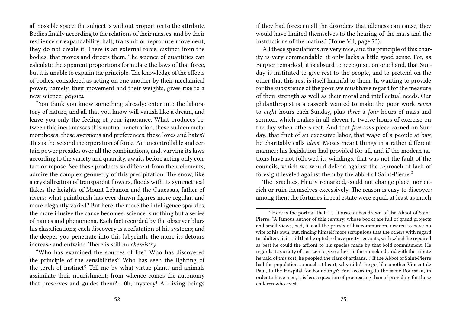all possible space: the subject is without proportion to the attribute. Bodies finally according to the relations of their masses, and by their resilience or expandability, halt, transmit or reproduce movement; they do not create it. There is an external force, distinct from the bodies, that moves and directs them. The science of quantities can calculate the apparent proportions formulate the laws of that force, but it is unable to explain the principle. The knowledge of the effects of bodies, considered as acting on one another by their mechanical power, namely, their movement and their weights, gives rise to a new science, *physics*.

"You think you know something already: enter into the laboratory of nature, and all that you know will vanish like a dream, and leave you only the feeling of your ignorance. What produces between this inert masses this mutual penetration, these sudden metamorphoses, these aversions and preferences, these loves and hates? This is the second incorporation of force. An uncontrollable and certain power presides over all the combinations, and, varying its laws according to the variety and quantity, awaits before acting only contact or repose. See these products so different from their elements; admire the complex geometry of this precipitation. The snow, like a crystallization of transparent flowers, floods with its symmetrical flakes the heights of Mount Lebanon and the Caucasus, father of rivers: what paintbrush has ever drawn figures more regular, and more elegantly varied? But here, the more the intelligence sparkles, the more illusive the cause becomes: science is nothing but a series of names and phenomena. Each fact recorded by the observer blurs his classifications; each discovery is a refutation of his systems; and the deeper you penetrate into this labyrinth, the more its detours increase and entwine. There is still no *chemistry*.

"Who has examined the sources of life? Who has discovered the principle of the sensibilities? Who has seen the lighting of the torch of instinct? Tell me by what virtue plants and animals assimilate their nourishment; from whence comes the autonomy that preserves and guides them?… 0h, mystery! All living beings

if they had foreseen all the disorders that idleness can cause, they would have limited themselves to the hearing of the mass and the instructions of the matins." (Tome VII, page 73).

All these speculations are very nice, and the principle of this charity is very commendable; it only lacks a little good sense. For, as Bergier remarked, it is absurd to recognize, on one hand, that Sunday is instituted to give rest to the people, and to pretend on the other that this rest is itself harmful to them. In wanting to provide for the subsistence of the poor, we must have regard for the measure of their strength as well as their moral and intellectual needs. Our philanthropist is a cassock wanted to make the poor work *seven* to *eight* hours each Sunday, plus *three* a *four* hours of mass and sermon, which makes in all eleven to twelve hours of exercise on the day when others rest. And that *five sous* piece earned on Sunday, that fruit of an excessive labor, that wage of a people at bay, he charitably calls *alms*! Moses meant things in a rather different manner; his legislation had provided for all, and if the modern nations have not followed its windings, that was not the fault of the councils, which we would defend against the reproach of lack of foresight leveled against them by the abbot of Saint-Pierre.<sup>2</sup>

The Israelites, Fleury remarked, could not change place, nor enrich or ruin themselves excessively. The reason is easy to discover: among them the fortunes in real estate were equal, at least as much

<sup>&</sup>lt;sup>2</sup> Here is the portrait that J.-J. Rousseau has drawn of the Abbot of Saint-Pierre: "A famous author of this century, whose books are full of grand projects and small views, had, like all the priests of his communion, desired to have no wife of his own; but, finding himself more scrupulous that the others with regard to adultery, it is said that he opted to have pretty servants, with which he repaired as best he could the affront to his species made by that bold commitment. He regards it as a duty of a citizen to give others to the homeland, and with the tribute he paid of this sort, he peopled the class of artisans…" If the Abbot of Saint-Pierre had the population so much at heart, why didn't he go, like another Vincent de Paul, to the Hospital for Foundlings? For, according to the same Rousseau, in order to have men, it is less a question of procreating than of providing for those children who exist.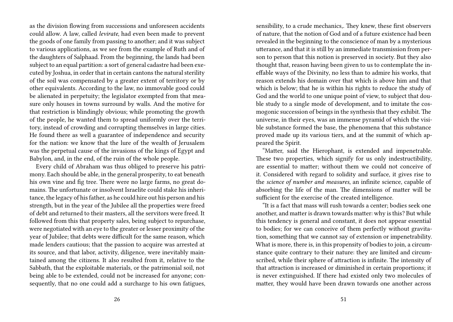as the division flowing from successions and unforeseen accidents could allow. A law, called *levirate*, had even been made to prevent the goods of one family from passing to another; and it was subject to various applications, as we see from the example of Ruth and of the daughters of Salphaad. From the beginning, the lands had been subject to an equal partition: a sort of general cadastre had been executed by Joshua, in order that in certain cantons the natural sterility of the soil was compensated by a greater extent of territory or by other equivalents. According to the law, no immovable good could be alienated in perpetuity; the legislator exempted from that measure only houses in towns surround by walls. And the motive for that restriction is blindingly obvious; while promoting the growth of the people, he wanted them to spread uniformly over the territory, instead of crowding and corrupting themselves in large cities. He found there as well a guarantee of independence and security for the nation: we know that the lure of the wealth of Jerusalem was the perpetual cause of the invasions of the kings of Egypt and Babylon, and, in the end, of the ruin of the whole people.

Every child of Abraham was thus obliged to preserve his patrimony. Each should be able, in the general prosperity, to eat beneath his own vine and fig tree. There were no large farms, no great domains. The unfortunate or insolvent Israelite could stake his inheritance, the legacy of his father, as he could hire out his person and his strength, but in the year of the Jubilee all the properties were freed of debt and returned to their masters, all the servitors were freed. It followed from this that property sales, being subject to repurchase, were negotiated with an eye to the greater or lesser proximity of the year of Jubilee; that debts were difficult for the same reason, which made lenders cautious; that the passion to acquire was arrested at its source, and that labor, activity, diligence, were inevitably maintained among the citizens. It also resulted from it, relative to the Sabbath, that the exploitable materials, or the patrimonial soil, not being able to be extended, could not be increased for anyone; consequently, that no one could add a surcharge to his own fatigues,

sensibility, to a crude mechanics,. They knew, these first observers of nature, that the notion of God and of a future existence had been revealed in the beginning to the conscience of man by a mysterious utterance, and that it is still by an immediate transmission from person to person that this notion is preserved in society. But they also thought that, reason having been given to us to contemplate the ineffable ways of the Divinity, no less than to admire his works, that reason extends his domain over that which is above him and that which is below; that he is within his rights to reduce the study of God and the world to one unique point of view, to subject that double study to a single mode of development, and to imitate the cosmogonic succession of beings in the synthesis that they exhibit. The universe, in their eyes, was an immense pyramid of which the visible substance formed the base, the phenomena that this substance proved made up its various tiers, and at the summit of which appeared the Spirit.

"Matter, said the Hierophant, is extended and impenetrable. These two properties, which signify for us only indestructibility, are essential to matter; without them we could not conceive of it. Considered with regard to solidity and surface, it gives rise to the *science of number and measures*, an infinite science, capable of absorbing the life of the man. The dimensions of matter will be sufficient for the exercise of the created intelligence.

"It is a fact that mass will rush towards a center; bodies seek one another, and matter is drawn towards matter: why is this? But while this tendency is general and constant, it does not appear essential to bodies; for we can conceive of them perfectly without gravitation, something that we cannot say of extension or impenetrability. What is more, there is, in this propensity of bodies to join, a circumstance quite contrary to their nature: they are limited and circumscribed, while their sphere of attraction is infinite. The intensity of that attraction is increased or diminished in certain proportions; it is never extinguished. If there had existed only two molecules of matter, they would have been drawn towards one another across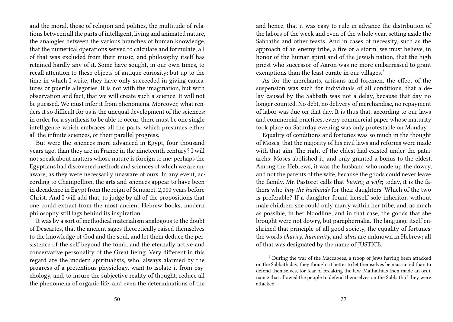and the moral, those of religion and politics, the multitude of relations between all the parts of intelligent, living and animated nature, the analogies between the various branches of human knowledge, that the numerical operations served to calculate and formulate, all of that was excluded from their music, and philosophy itself has retained hardly any of it. Some have sought, in our own times, to recall attention to these objects of antique curiosity; but up to the time in which I write, they have only succeeded in giving caricatures or puerile allegories. It is not with the imagination, but with observation and fact, that we will create such a science. It will not be guessed. We must infer it from phenomena. Moreover, what renders it so difficult for us is the unequal development of the sciences: in order for a synthesis to be able to occur, there must be one single intelligence which embraces all the parts, which presumes either all the infinite sciences, or their parallel progress.

But were the sciences more advanced in Egypt, four thousand years ago, than they are in France in the nineteenth century? I will not speak about matters whose nature is foreign to me: perhaps the Egyptians had discovered methods and sciences of which we are unaware, as they were necessarily unaware of ours. In any event, according to Chainpollion, the arts and sciences appear to have been in decadence in Egypt from the reign of Senusret, 2,000 years before Christ. And I will add that, to judge by all of the propositions that one could extract from the most ancient Hebrew books, modern philosophy still lags behind its inspiration.

It was by a sort of methodical materialism analogous to the doubt of Descartes, that the ancient sages theoretically raised themselves to the knowledge of God and the soul, and let them deduce the persistence of the self beyond the tomb, and the eternally active and conservative personality of the Great Being. Very different in this regard are the modern spiritualists, who, always alarmed by the progress of a pretentious physiology, want to isolate it from psychology, and, to insure the subjective reality of thought, reduce all the phenomena of organic life, and even the determinations of the

and hence, that it was easy to rule in advance the distribution of the labors of the week and even of the whole year, setting aside the Sabbaths and other feasts. And in cases of necessity, such as the approach of an enemy tribe, a fire or a storm, we must believe, in honor of the human spirit and of the Jewish nation, that the high priest who successor of Aaron was no more embarrassed to grant exemptions than the least curate in our villages.<sup>3</sup>

As for the merchants, artisans and foremen, the effect of the suspension was such for individuals of all conditions, that a delay caused by the Sabbath was not a delay, because that day no longer counted. No debt, no delivery of merchandise, no repayment of labor was due on that day. It is thus that, according to our laws and commercial practices, every commercial paper whose maturity took place on Saturday evening was only protestable on Monday.

Equality of conditions and fortunes was so much in the thought of Moses, that the majority of his civil laws and reforms were made with that aim. The right of the eldest had existed under the patriarchs: Moses abolished it, and only granted a bonus to the eldest. Among the Hebrews, it was the husband who made up the dowry, and not the parents of the wife, because the goods could never leave the family. Mr. Pastoret calls that *buying a wife*; today, it is the fathers who *buy the husbands* for their daughters. Which of the two is preferable? If a daughter found herself sole inheritor, without male children, she could only marry within her tribe, and, as much as possible, in her bloodline; and in that case, the goods that she brought were not dowry, but paraphernalia. The language itself enshrined that principle of all good society, the equality of fortunes: the words *charity*, *humanity*, and *alms* are unknown in Hebrew; all of that was designated by the name of JUSTICE.

<sup>3</sup> During the war of the Maccabees, a troop of Jews having been attacked on the Sabbath day, they thought it better to let themselves be massacred than to defend themselves, for fear of breaking the law. Mathathias then made an ordinance that allowed the people to defend themselves on the Sabbath if they were attacked.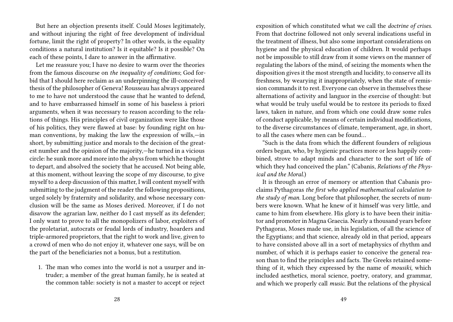But here an objection presents itself. Could Moses legitimately, and without injuring the right of free development of individual fortune, limit the right of property? In other words, is the equality conditions a natural institution? Is it equitable? Is it possible? On each of these points, I dare to answer in the affirmative.

Let me reassure you; I have no desire to warm over the theories from the famous discourse on *the inequality of conditions*; God forbid that I should here reclaim as an underpinning the ill-conceived thesis of the philosopher of Geneva! Rousseau has always appeared to me to have not understood the cause that he wanted to defend, and to have embarrassed himself in some of his baseless à priori arguments, when it was necessary to reason according to the relations of things. His principles of civil organization were like those of his politics, they were flawed at base: by founding right on human conventions, by making the law the expression of wills,—in short, by submitting justice and morals to the decision of the greatest number and the opinion of the majority,—he turned in a vicious circle: he sunk more and more into the abyss from which he thought to depart, and absolved the society that he accused. Not being able, at this moment, without leaving the scope of my discourse, to give myself to a deep discussion of this matter, I will content myself with submitting to the judgment of the reader the following propositions, urged solely by fraternity and solidarity, and whose necessary conclusion will be the same as Moses derived. Moreover, if I do not disavow the agrarian law, neither do I cast myself as its defender; I only want to prove to all the monopolizers of labor, exploiters of the proletariat, autocrats or feudal lords of industry, hoarders and triple-armored proprietors, that the right to work and live, given to a crowd of men who do not enjoy it, whatever one says, will be on the part of the beneficiaries not a bonus, but a restitution.

1. The man who comes into the world is not a usurper and intruder; a member of the great human family, he is seated at the common table: society is not a master to accept or reject

exposition of which constituted what we call the *doctrine of crises*. From that doctrine followed not only several indications useful in the treatment of illness, but also some important considerations on hygiene and the physical education of children. It would perhaps not be impossible to still draw from it some views on the manner of regulating the labors of the mind, of seizing the moments when the disposition gives it the most strength and lucidity, to conserve all its freshness, by wearying it inappropriately, when the state of remission commands it to rest. Everyone can observe in themselves these alternations of activity and languor in the exercise of thought: but what would be truly useful would be to restore its periods to fixed laws, taken in nature, and from which one could draw some rules of conduct applicable, by means of certain individual modifications, to the diverse circumstances of climate, temperament, age, in short, to all the cases where men can be found…

"Such is the data from which the different founders of religious orders began, who, by hygienic practices more or less happily combined, strove to adapt minds and character to the sort of life of which they had conceived the plan." (Cabanis, *Relations of the Physical and the Moral.*)

It is through an error of memory or attention that Cabanis proclaims Pythagoras *the first who applied mathematical calculation to the study of man*. Long before that philosopher, the secrets of numbers were known. What he knew of it himself was very little, and came to him from elsewhere. His glory is to have been their initiator and promoter in Magna Graecia. Nearly a thousand years before Pythagoras, Moses made use, in his legislation, of all the science of the Egyptians; and that science, already old in that period, appears to have consisted above all in a sort of metaphysics of rhythm and number, of which it is perhaps easier to conceive the general reason than to find the principles and facts. The Greeks retained something of it, which they expressed by the name of *mousiki*, which included aesthetics, moral science, poetry, oratory, and grammar, and which we properly call *music*. But the relations of the physical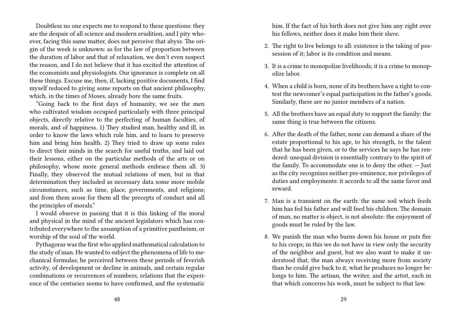Doubtless no one expects me to respond to these questions: they are the despair of all science and modern erudition, and I pity whoever, facing this same matter, does not perceive that abyss. The origin of the week is unknown: as for the law of proportion between the duration of labor and that of relaxation, we don't even suspect the reason, and I do not believe that it has excited the attention of the economists and physiologists. Our ignorance is complete on all these things. Excuse me, then, if, lacking positive documents, I find myself reduced to giving some reports on that ancient philosophy, which, in the times of Moses, already bore the same fruits.

"Going back to the first days of humanity, we see the men who cultivated wisdom occupied particularly with three principal objects, directly relative to the perfecting of human faculties, of morals, and of happiness. 1) They studied man, healthy and ill, in order to know the laws which rule him, and to learn to preserve him and bring him health. 2) They tried to draw up some rules to direct their minds in the search for useful truths, and laid out their lessons, either on the particular methods of the arts or on philosophy, whose more general methods embrace them all. 3) Finally, they observed the mutual relations of men, but in that determination they included as necessary data some more mobile circumstances, such as time, place, governments, and religions; and from them arose for them all the precepts of conduct and all the principles of morals."

I would observe in passing that it is this linking of the moral and physical in the mind of the ancient legislators which has contributed everywhere to the assumption of a primitive pantheism, or worship of the soul of the world.

Pythagoras was the first who applied mathematical calculation to the study of man. He wanted to subject the phenomena of life to mechanical formulas; he perceived between these periods of feverish activity, of development or decline in animals, and certain regular combinations or recurrences of numbers, relations that the experience of the centuries seems to have confirmed, and the systematic

him. If the fact of his birth does not give him any right over his fellows, neither does it make him their slave.

- 2. The right to live belongs to all: existence is the taking of possession of it; labor is its condition and means.
- 3. It is a crime to monopolize livelihoods; it is a crime to monopolize labor.
- 4. When a child is born, none of its brothers have a right to contest the newcomer's equal participation in the father's goods. Similarly, there are no junior members of a nation.
- 5. All the brothers have an equal duty to support the family: the same thing is true between the citizens.
- 6. After the death of the father, none can demand a share of the estate proportional to his age, to his strength, to the talent that he has been given, or to the services he says he has rendered: unequal division is essentially contrary to the spirit of the family. To accommodate one is to deny the other. — Just as the city recognizes neither pre-eminence, nor privileges of duties and employments: it accords to all the same favor and reward.
- 7. Man is a transient on the earth: the same soil which feeds him has fed his father and will feed his children. The domain of man, no matter is object, is not absolute: the enjoyment of goods must be ruled by the law.
- 8. We punish the man who burns down his house or puts fire to his crops; in this we do not have in view only the security of the neighbor and guest, but we also want to make it understood that, the man always receiving more from society than he could give back to it, what he produces no longer belongs to him. The artisan, the writer, and the artist, each in that which concerns his work, must be subject to that law.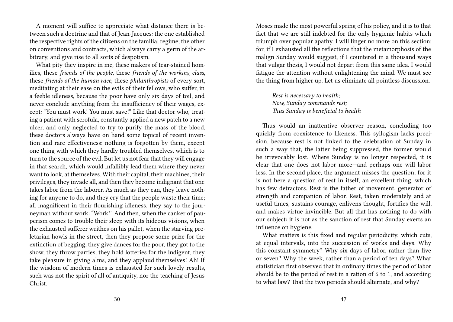A moment will suffice to appreciate what distance there is between such a doctrine and that of Jean-Jacques: the one established the respective rights of the citizens on the familial regime; the other on conventions and contracts, which always carry a germ of the arbitrary, and give rise to all sorts of despotism.

What pity they inspire in me, these makers of tear-stained homilies, these *friends of the people*, these *friends of the working class*, these *friends of the human race*, these *philanthropists* of every sort, meditating at their ease on the evils of their fellows, who suffer, in a feeble idleness, because the poor have only six days of toil, and never conclude anything from the insufficiency of their wages, except: "You must work! You must save!" Like that doctor who, treating a patient with scrofula, constantly applied a new patch to a new ulcer, and only neglected to try to purify the mass of the blood, these doctors always have on hand some topical of recent invention and rare effectiveness: nothing is forgotten by them, except one thing with which they hardly troubled themselves, which is to turn to the source of the evil. But let us not fear that they will engage in that search, which would infallibly lead them where they never want to look, at themselves. With their capital, their machines, their privileges, they invade all, and then they become indignant that one takes labor from the laborer. As much as they can, they leave nothing for anyone to do, and they cry that the people waste their time; all magnificent in their flourishing idleness, they say to the journeyman without work: "Work!" And then, when the canker of pauperism comes to trouble their sleep with its hideous visions, when the exhausted sufferer writhes on his pallet, when the starving proletarian howls in the street, then they propose some prize for the extinction of begging, they give dances for the poor, they got to the show, they throw parties, they hold lotteries for the indigent, they take pleasure in giving alms, and they applaud themselves! Ah! If the wisdom of modern times is exhausted for such lovely results, such was not the spirit of all of antiquity, nor the teaching of Jesus Christ.

Moses made the most powerful spring of his policy, and it is to that fact that we are still indebted for the only hygienic habits which triumph over popular apathy. I will linger no more on this section; for, if I exhausted all the reflections that the metamorphosis of the malign Sunday would suggest, if I countered in a thousand ways that vulgar thesis, I would not depart from this same idea. I would fatigue the attention without enlightening the mind. We must see the thing from higher up. Let us eliminate all pointless discussion.

*Rest is necessary to health; Now, Sunday commands rest; Thus Sunday is beneficial to health*

Thus would an inattentive observer reason, concluding too quickly from coexistence to likeness. This syllogism lacks precision, because rest is not linked to the celebration of Sunday in such a way that, the latter being suppressed, the former would be irrevocably lost. Where Sunday is no longer respected, it is clear that one does not labor more—and perhaps one will labor less. In the second place, the argument misses the question; for it is not here a question of rest in itself, an excellent thing, which has few detractors. Rest is the father of movement, generator of strength and companion of labor. Rest, taken moderately and at useful times, sustains courage, enlivens thought, fortifies the will, and makes virtue invincible. But all that has nothing to do with our subject: it is not as the sanction of rest that Sunday exerts an influence on hygiene.

What matters is this fixed and regular periodicity, which cuts, at equal intervals, into the succession of works and days. Why this constant symmetry? Why six days of labor, rather than five or seven? Why the week, rather than a period of ten days? What statistician first observed that in ordinary times the period of labor should be to the period of rest in a ration of 6 to 1, and according to what law? That the two periods should alternate, and why?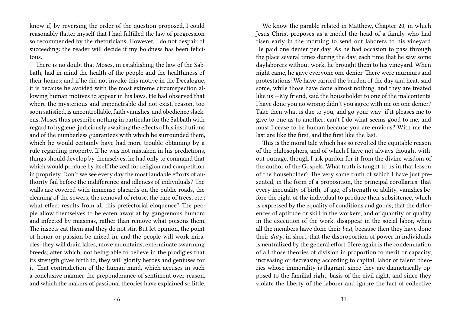know if, by reversing the order of the question proposed, I could reasonably flatter myself that I had fulfilled the law of progression so recommended by the rhetoricians. However, I do not despair of succeeding: the reader will decide if my boldness has been felicitous.

There is no doubt that Moses, in establishing the law of the Sabbath, had in mind the health of the people and the healthiness of their homes; and if he did not invoke this motive in the Decalogue, it is because he avoided with the most extreme circumspection allowing human motives to appear in his laws. He had observed that where the mysterious and impenetrable did not exist, reason, too soon satisfied, is uncontrollable, faith vanishes, and obedience slackens. Moses thus prescribe nothing in particular for the Sabbath with regard to hygiene, judiciously awaiting the effects of his institutions and of the numberless guarantees with which he surrounded them, which he would certainly have had more trouble obtaining by a rule regarding property. If he was not mistaken in his predictions, things should develop by themselves; he had only to command that which would produce by itself the zeal for religion and competition in propriety. Don't we see every day the most laudable efforts of authority fail before the indifference and idleness of individuals? The walls are covered with immense placards on the public roads, the cleaning of the sewers, the removal of refuse, the care of trees, etc.; what effect results from all this prefectorial eloquence? The people allow themselves to be eaten away at by gangrenous humors and infected by miasmas, rather than remove what poisons them. The insects eat them and they do not stir. But let opinion, the point of honor or passion be mixed in, and the people will work miracles: they will drain lakes, move mountains, exterminate swarming breeds; after which, not being able to believe in the prodigies that its strength gives birth to, they will glorify heroes and geniuses for it. That contradiction of the human mind, which accuses in such a conclusive manner the preponderance of sentiment over reason, and which the makers of passional theories have explained so little,

We know the parable related in Matthew, Chapter 20, in which Jesus Christ proposes as a model the head of a family who had risen early in the morning to send out laborers to his vineyard. He paid one denier per day. As he had occasion to pass through the place several times during the day, each time that he saw some daylaborers without work, he brought them to his vineyard. When night came, he gave everyone one denier. There were murmurs and protestations: We have carried the burden of the day and heat, said some, while those have done almost nothing, and they are treated like us!—My friend, said the householder to one of the malcontents, I have done you no wrong: didn't you agree with me on one denier? Take then what is due to you, and go your way: if it pleases me to give to one as to another; can't I do what seems good to me, and must I cease to be human because you are envious? With me the last are like the first, and the first like the last.

This is the moral tale which has so revolted the equitable reason of the philosophers, and of which I have not always thought without outrage, though I ask pardon for it from the divine wisdom of the author of the Gospels. What truth is taught to us in that lesson of the householder? The very same truth of which I have just presented, in the form of a proposition, the principal corollaries: that every inequality of birth, of age, of strength or ability, vanishes before the right of the individual to produce their subsistence, which is expressed by the equality of conditions and goods; that the differences of aptitude or skill in the workers, and of quantity or quality in the execution of the work, disappear in the social labor, when all the members have done their *best*, because then they have done their *duty*; in short, that the disproportion of power in individuals is neutralized by the general effort. Here again is the condemnation of all those theories of division in proportion to merit or capacity, increasing or decreasing according to capital, labor or talent, theories whose immorality is flagrant, since they are diametrically opposed to the familial right, basis of the civil right, and since they violate the liberty of the laborer and ignore the fact of collective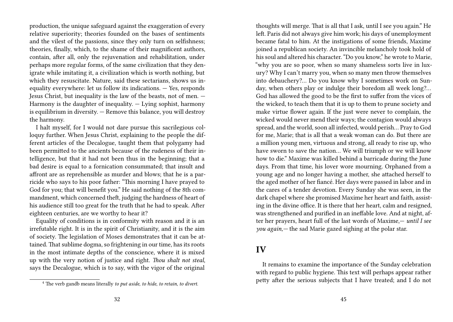production, the unique safeguard against the exaggeration of every relative superiority; theories founded on the bases of sentiments and the vilest of the passions, since they only turn on selfishness; theories, finally, which, to the shame of their magnificent authors, contain, after all, only the rejuvenation and rehabilitation, under perhaps more regular forms, of the same civilization that they denigrate while imitating it, a civilization which is worth nothing, but which they resuscitate. Nature, said these sectarians, shows us inequality everywhere: let us follow its indications. — Yes, responds Jesus Christ, but inequality is the law of the beasts, not of men. — Harmony is the daughter of inequality. — Lying sophist, harmony is equilibrium in diversity. — Remove this balance, you will destroy the harmony.

I halt myself, for I would not dare pursue this sacrilegious colloquy further. When Jesus Christ, explaining to the people the different articles of the Decalogue, taught them that polygamy had been permitted to the ancients because of the rudeness of their intelligence, but that it had not been thus in the beginning; that a bad desire is equal to a fornication consummated; that insult and affront are as reprehensible as murder and blows; that he is a parricide who says to his poor father: "This morning I have prayed to God for you; that will benefit you." He said nothing of the 8th commandment, which concerned theft, judging the hardness of heart of his audience still too great for the truth that he had to speak. After eighteen centuries, are we worthy to hear it?

Equality of conditions is in conformity with reason and it is an irrefutable right. It is in the spirit of Christianity, and it is the aim of society. The legislation of Moses demonstrates that it can be attained. That sublime dogma, so frightening in our time, has its roots in the most intimate depths of the conscience, where it is mixed up with the very notion of justice and right. *Thou shalt not steal*, says the Decalogue, which is to say, with the vigor of the original

thoughts will merge. That is all that I ask, until I see you again." He left. Paris did not always give him work; his days of unemployment became fatal to him. At the instigations of some friends, Maxime joined a republican society. An invincible melancholy took hold of his soul and altered his character. "Do you know," he wrote to Marie, "why you are so poor, when so many shameless sorts live in luxury? Why I can't marry you, when so many men throw themselves into debauchery?… Do you know why I sometimes work on Sunday, when others play or indulge their boredom all week long?… God has allowed the good to be the first to suffer from the vices of the wicked, to teach them that it is up to them to prune society and make virtue flower again. If the just were never to complain, the wicked would never mend their ways; the contagion would always spread, and the world, soon all infected, would perish… Pray to God for me, Marie; that is all that a weak woman can do. But there are a million young men, virtuous and strong, all ready to rise up, who have sworn to save the nation… We will triumph or we will know how to die." Maxime was killed behind a barricade during the June days. From that time, his lover wore mourning. Orphaned from a young age and no longer having a mother, she attached herself to the aged mother of her fiancé. Her days were passed in labor and in the cares of a tender devotion. Every Sunday she was seen, in the dark chapel where she promised Maxime her heart and faith, assisting in the divine office. It is there that her heart, calm and resigned, was strengthened and purified in an ineffable love. And at night, after her prayers, heart full of the last words of Maxime,— *until I see you again,—* the sad Marie gazed sighing at the polar star.

### **IV**

It remains to examine the importance of the Sunday celebration with regard to public hygiene. This text will perhaps appear rather petty after the serious subjects that I have treated; and I do not

<sup>4</sup> The verb gandb means literally *to put aside*, *to hide*, *to retain*, *to divert*.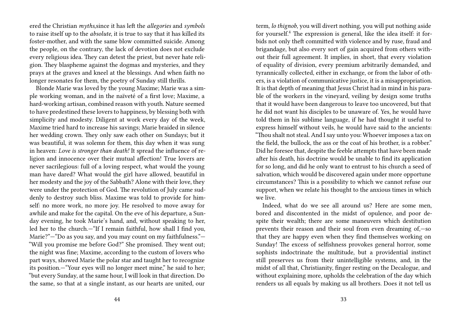ered the Christian *myths*,since it has left the *allegories* and *symbols* to raise itself up to the *absolute*, it is true to say that it has killed its foster-mother, and with the same blow committed suicide. Among the people, on the contrary, the lack of devotion does not exclude every religious idea. They can detest the priest, but never hate religion. They blaspheme against the dogmas and mysteries, and they prays at the graves and kneel at the blessings. And when faith no longer resonates for them, the poetry of Sunday still thrills.

Blonde Marie was loved by the young Maxime; Marie was a simple working woman, and in the naïveté of a first love; Maxime, a hard-working artisan, combined reason with youth. Nature seemed to have predestined these lovers to happiness, by blessing both with simplicity and modesty. Diligent at work every day of the week, Maxime tried hard to increase his savings; Marie braided in silence her wedding crown. They only saw each other on Sundays; but it was beautiful, it was solemn for them, this day when it was sung in heaven: *Love is stronger than death!* It spread the influence of religion and innocence over their mutual affection! True lovers are never sacrilegious: full of a loving respect, what would the young man have dared? What would the girl have allowed, beautiful in her modesty and the joy of the Sabbath? Alone with their love, they were under the protection of God. The revolution of July came suddenly to destroy such bliss. Maxime was told to provide for himself: no more work, no more joy. He resolved to move away for awhile and make for the capital. On the eve of his departure, a Sunday evening, he took Marie's hand, and, without speaking to her, led her to the church.—"If I remain faithful, how shall I find you, Marie?"—"Do as you say, and you may count on my faithfulness."— "Will you promise me before God?" She promised. They went out; the night was fine; Maxime, according to the custom of lovers who part ways, showed Marie the polar star and taught her to recognize its position.—"Your eyes will no longer meet mine," he said to her; "but every Sunday, at the same hour, I will look in that direction. Do the same, so that at a single instant, as our hearts are united, our

term, *lo thignob*, you will divert nothing, you will put nothing aside for yourself.<sup>4</sup> The expression is general, like the idea itself: it forbids not only theft committed with violence and by ruse, fraud and brigandage, but also every sort of gain acquired from others without their full agreement. It implies, in short, that every violation of equality of division, every premium arbitrarily demanded, and tyrannically collected, either in exchange, or from the labor of others, is a violation of communicative justice, it is a misappropriation. It is that depth of meaning that Jesus Christ had in mind in his parable of the workers in the vineyard, veiling by design some truths that it would have been dangerous to leave too uncovered, but that he did not want his disciples to be unaware of. Yes, he would have told them in his sublime language, if he had thought it useful to express himself without veils, he would have said to the ancients: "Thou shalt not steal. And I say unto you: Whoever imposes a tax on the field, the bullock, the ass or the coat of his brother, is a robber." Did he foresee that, despite the feeble attempts that have been made after his death, his doctrine would be unable to find its application for so long, and did he only want to entrust to his church a seed of salvation, which would be discovered again under more opportune circumstances? This is a possibility to which we cannot refuse our support, when we relate his thought to the anxious times in which we live.

Indeed, what do we see all around us? Here are some men, bored and discontented in the midst of opulence, and poor despite their wealth; there are some maneuvers which destitution prevents their reason and their soul from even dreaming of,—so that they are happy even when they find themselves working on Sunday! The excess of selfishness provokes general horror, some sophists indoctrinate the multitude, but a providential instinct still preserves us from their unintelligible systems, and, in the midst of all that, Christianity, finger resting on the Decalogue, and without explaining more, upholds the celebration of the day which renders us all equals by making us all brothers. Does it not tell us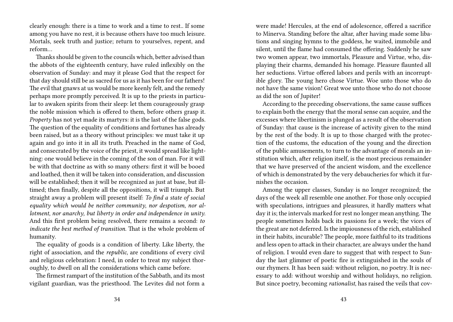clearly enough: there is a time to work and a time to rest.. If some among you have no rest, it is because others have too much leisure. Mortals, seek truth and justice; return to yourselves, repent, and reform…

Thanks should be given to the councils which, better advised than the abbots of the eighteenth century, have ruled inflexibly on the observation of Sunday: and may it please God that the respect for that day should still be as sacred for us as it has been for our fathers! The evil that gnaws at us would be more keenly felt, and the remedy perhaps more promptly perceived. It is up to the priests in particular to awaken spirits from their sleep: let them courageously grasp the noble mission which is offered to them, before others grasp it. *Property* has not yet made its martyrs: it is the last of the false gods. The question of the equality of conditions and fortunes has already been raised, but as a theory without principles: we must take it up again and go into it in all its truth. Preached in the name of God, and consecrated by the voice of the priest, it would spread like lightning: one would believe in the coming of the son of man. For it will be with that doctrine as with so many others: first it will be booed and loathed, then it will be taken into consideration, and discussion will be established; then it will be recognized as just at base, but illtimed; then finally, despite all the oppositions, it will triumph. But straight away a problem will present itself: *To find a state of social equality which would be neither community*, *nor despotism*, *nor allotment*, *nor anarchy*, *but liberty in order and independence in unity*. And this first problem being resolved, there remains a second: *to indicate the best method of transition*. That is the whole problem of humanity.

The equality of goods is a condition of liberty. Like liberty, the right of association, and the *republic*, are conditions of every civil and religious celebration: I need, in order to treat my subject thoroughly, to dwell on all the considerations which came before.

The firmest rampart of the institution of the Sabbath, and its most vigilant guardian, was the priesthood. The Levites did not form a were made! Hercules, at the end of adolescence, offered a sacrifice to Minerva. Standing before the altar, after having made some libations and singing hymns to the goddess, he waited, immobile and silent, until the flame had consumed the offering. Suddenly he saw two women appear, two immortals, Pleasure and Virtue, who, displaying their charms, demanded his homage. Pleasure flaunted all her seductions. Virtue offered labors and perils with an incorruptible glory. The young hero chose Virtue. Woe unto those who do not have the same vision! Great woe unto those who do not choose as did the son of Jupiter!

According to the preceding observations, the same cause suffices to explain both the energy that the moral sense can acquire, and the excesses where libertinism is plunged as a result of the observation of Sunday: that cause is the increase of activity given to the mind by the rest of the body. It is up to those charged with the protection of the customs, the education of the young and the direction of the public amusements, to turn to the advantage of morals an institution which, after religion itself, is the most precious remainder that we have preserved of the ancient wisdom, and the excellence of which is demonstrated by the very debaucheries for which it furnishes the occasion.

Among the upper classes, Sunday is no longer recognized; the days of the week all resemble one another. For those only occupied with speculations, intrigues and pleasures, it hardly matters what day it is; the intervals marked for rest no longer mean anything. The people sometimes holds back its passions for a week; the vices of the great are not deferred. Is the impiousness of the rich, established in their habits, incurable? The people, more faithful to its traditions and less open to attack in their character, are always under the hand of religion. I would even dare to suggest that with respect to Sunday the last glimmer of poetic fire is extinguished in the souls of our rhymers. It has been said: without religion, no poetry. It is necessary to add: without worship and without holidays, no religion. But since poetry, becoming *rationalist*, has raised the veils that cov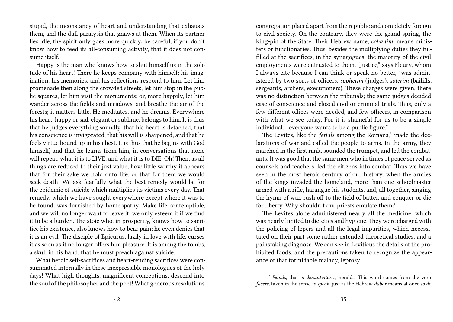stupid, the inconstancy of heart and understanding that exhausts them, and the dull paralysis that gnaws at them. When its partner lies idle, the spirit only goes more quickly: be careful, if you don't know how to feed its all-consuming activity, that it does not consume itself.

Happy is the man who knows how to shut himself us in the solitude of his heart! There he keeps company with himself; his imagination, his memories, and his reflections respond to him. Let him promenade then along the crowded streets, let him stop in the public squares, let him visit the monuments; or, more happily, let him wander across the fields and meadows, and breathe the air of the forests; it matters little. He meditates, and he dreams. Everywhere his heart, happy or sad, elegant or sublime, belongs to him. It is thus that he judges everything soundly, that his heart is detached, that his conscience is invigorated, that his will is sharpened, and that he feels virtue bound up in his chest. It is thus that he begins with God himself, and that he learns from him, in conversations that none will repeat, what it is to LIVE, and what it is to DIE. Oh! Then, as all things are reduced to their just value, how little worthy it appears that for their sake we hold onto life, or that for them we would seek death! We ask fearfully what the best remedy would be for the epidemic of suicide which multiplies its victims every day. That remedy, which we have sought everywhere except where it was to be found, was furnished by homeopathy. Make life contemptible, and we will no longer want to leave it; we only esteem it if we find it to be a burden. The stoic who, in prosperity, knows how to sacrifice his existence, also knows how to bear pain; he even denies that it is an evil. The disciple of Epicurus, lazily in love with life, curses it as soon as it no longer offers him pleasure. It is among the tombs, a skull in his hand, that he must preach against suicide.

What heroic self-sacrifices and heart-rending sacrifices were consummated internally in these inexpressible monologues of the holy days! What high thoughts, magnificent conceptions, descend into the soul of the philosopher and the poet! What generous resolutions

congregation placed apart from the republic and completely foreign to civil society. On the contrary, they were the grand spring, the king-pin of the State. Their Hebrew name, *cohanim*, means ministers or functionaries. Thus, besides the multiplying duties they fulfilled at the sacrifices, in the synagogues, the majority of the civil employments were entrusted to them. "Justice," says Fleury, whom I always cite because I can think or speak no better, "was administered by two sorts of officers, *sophetim* (judges), *soterim* (bailiffs, sergeants, archers, executioners). These charges were given, there was no distinction between the tribunals; the same judges decided case of conscience and closed civil or criminal trials. Thus, only a few different offices were needed, and few officers, in comparison with what we see today. For it is shameful for us to be a simple individual… everyone wants to be a public figure."

The Levites, like the *fetials* among the Romans,<sup>5</sup> made the declarations of war and called the people to arms. In the army, they marched in the first rank, sounded the trumpet, and led the combatants. It was good that the same men who in times of peace served as counsels and teachers, led the citizens into combat. Thus we have seen in the most heroic century of our history, when the armies of the kings invaded the homeland, more than one schoolmaster armed with a rifle, harangue his students, and, all together, singing the hymn of war, rush off to the field of batter, and conquer or die for liberty. Why shouldn't our priests emulate them?

The Levites alone administered nearly all the medicine, which was nearly limited to dietetics and hygiene. They were charged with the policing of lepers and all the legal impurities, which necessitated on their part some rather extended theoretical studies, and a painstaking diagnose. We can see in Leviticus the details of the prohibited foods, and the precautions taken to recognize the appearance of that formidable malady, leprosy.

<sup>5</sup> *Fetials*, that is *denuntiatores*, heralds. This word comes from the verb *facere*, taken in the sense *to speak*, just as the Hebrew *dabar* means at once *to do*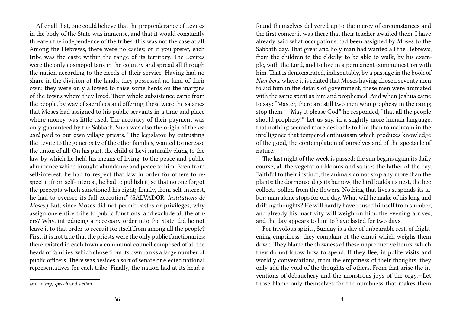After all that, one could believe that the preponderance of Levites in the body of the State was immense, and that it would constantly threaten the independence of the tribes: this was not the case at all. Among the Hebrews, there were no castes; or if you prefer, each tribe was the caste within the range of its territory. The Levites were the only cosmopolitans in the country and spread all through the nation according to the needs of their service. Having had no share in the division of the lands, they possessed no land of their own; they were only allowed to raise some herds on the margins of the towns where they lived. Their whole subsistence came from the people, by way of sacrifices and offering; these were the salaries that Moses had assigned to his public servants in a time and place where money was little used. The accuracy of their payment was only guaranteed by the Sabbath. Such was also the origin of the *casuel* paid to our own village priests. "The legislator, by entrusting the Levite to the generosity of the other families, wanted to increase the union of all. On his part, the child of Levi naturally clung to the law by which he held his means of living, to the peace and public abundance which brought abundance and peace to him. Even from self-interest, he had to respect that law in order for others to respect it; from self-interest, he had to publish it, so that no one forgot the precepts which sanctioned his right; finally, from self-interest, he had to oversee its full execution." (SALVADOR, *Institutions de Moses*.) But, since Moses did not permit castes or privileges, why assign one entire tribe to public functions, and exclude all the others? Why, introducing a necessary order into the State, did he not leave it to that order to recruit for itself from among all the people? First, it is not true that the priests were the only public functionaries: there existed in each town a communal council composed of all the heads of families, which chose from its own ranks a large number of public officers. There was besides a sort of senate or elected national representatives for each tribe. Finally, the nation had at its head a

found themselves delivered up to the mercy of circumstances and the first comer: it was there that their teacher awaited them. I have already said what occupations had been assigned by Moses to the Sabbath day. That great and holy man had wanted all the Hebrews, from the children to the elderly, to be able to walk, by his example, with the Lord, and to live in a permanent communication with him. That is demonstrated, indisputably, by a passage in the book of *Numbers*, where it is related that Moses having chosen seventy men to aid him in the details of government, these men were animated with the same spirit as him and prophesied. And when Joshua came to say: "Master, there are still two men who prophesy in the camp; stop them.—"May it please God," he responded, "that all the people should prophesy!" Let us say, in a slightly more human language, that nothing seemed more desirable to him than to maintain in the intelligence that tempered enthusiasm which produces knowledge of the good, the contemplation of ourselves and of the spectacle of nature.

The last night of the week is passed; the sun begins again its daily course; all the vegetation blooms and salutes the father of the day. Faithful to their instinct, the animals do not stop any more than the plants: the dormouse digs its burrow, the bird builds its nest, the bee collects pollen from the flowers. Nothing that lives suspends its labor: man alone stops for one day. What will he make of his long and drifting thoughts? He will hardly have roused himself from slumber, and already his inactivity will weigh on him: the evening arrives, and the day appears to him to have lasted for two days.

For frivolous spirits, Sunday is a day of unbearable rest, of frightening emptiness: they complain of the ennui which weighs them down. They blame the slowness of these unproductive hours, which they do not know how to spend. If they flee, in polite visits and worldly conversations, from the emptiness of their thoughts, they only add the void of the thoughts of others. From that arise the inventions of debauchery and the monstrous joys of the orgy.—Let those blame only themselves for the numbness that makes them

and *to say*, *speech* and *action*.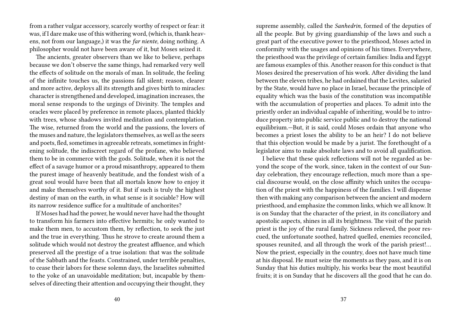from a rather vulgar accessory, scarcely worthy of respect or fear: it was, if I dare make use of this withering word, (which is, thank heavens, not from our language,) it was the *far niente*, doing nothing. A philosopher would not have been aware of it, but Moses seized it.

The ancients, greater observers than we like to believe, perhaps because we don't observe the same things, had remarked very well the effects of solitude on the morals of man. In solitude, the feeling of the infinite touches us, the passions fall silent; reason, clearer and more active, deploys all its strength and gives birth to miracles: character is strengthened and developed, imagination increases, the moral sense responds to the urgings of Divinity. The temples and oracles were placed by preference in remote places, planted thickly with trees, whose shadows invited meditation and contemplation. The wise, returned from the world and the passions, the lovers of the muses and nature, the legislators themselves, as well as the seers and poets, fled, sometimes in agreeable retreats, sometimes in frightening solitude, the indiscreet regard of the profane, who believed them to be in commerce with the gods. Solitude, when it is not the effect of a savage humor or a proud misanthropy, appeared to them the purest image of heavenly beatitude, and the fondest wish of a great soul would have been that all mortals know how to enjoy it and make themselves worthy of it. But if such is truly the highest destiny of man on the earth, in what sense is it sociable? How will its narrow residence suffice for a multitude of anchorites?

If Moses had had the power, he would never have had the thought to transform his farmers into effective hermits; he only wanted to make them men, to accustom them, by reflection, to seek the just and the true in everything. Thus he strove to create around them a solitude which would not destroy the greatest affluence, and which preserved all the prestige of a true isolation: that was the solitude of the Sabbath and the feasts. Constrained, under terrible penalties, to cease their labors for these solemn days, the Israelites submitted to the yoke of an unavoidable meditation; but, incapable by themselves of directing their attention and occupying their thought, they

supreme assembly, called the *Sanhedrin*, formed of the deputies of all the people. But by giving guardianship of the laws and such a great part of the executive power to the priesthood, Moses acted in conformity with the usages and opinions of his times. Everywhere, the priesthood was the privilege of certain families: India and Egypt are famous examples of this. Another reason for this conduct is that Moses desired the preservation of his work. After dividing the land between the eleven tribes, he had ordained that the Levites, salaried by the State, would have no place in Israel, because the principle of equality which was the basis of the constitution was incompatible with the accumulation of properties and places. To admit into the priestly order an individual capable of inheriting, would be to introduce property into public service public and to destroy the national equilibrium.—But, it is said, could Moses ordain that anyone who becomes a priest loses the ability to be an heir? I do not believe that this objection would be made by a jurist. The forethought of a legislator aims to make absolute laws and to avoid all qualification.

I believe that these quick reflections will not be regarded as beyond the scope of the work, since, taken in the context of our Sunday celebration, they encourage reflection, much more than a special discourse would, on the close affinity which unites the occupation of the priest with the happiness of the families. I will dispense then with making any comparison between the ancient and modern priesthood, and emphasize the common links, which we all know. It is on Sunday that the character of the priest, in its conciliatory and apostolic aspects, shines in all its brightness. The visit of the parish priest is the joy of the rural family. Sickness relieved, the poor rescued, the unfortunate soothed, hatred quelled, enemies reconciled, spouses reunited, and all through the work of the parish priest!… Now the priest, especially in the country, does not have much time at his disposal. He must seize the moments as they pass, and it is on Sunday that his duties multiply, his works bear the most beautiful fruits; it is on Sunday that he discovers all the good that he can do.